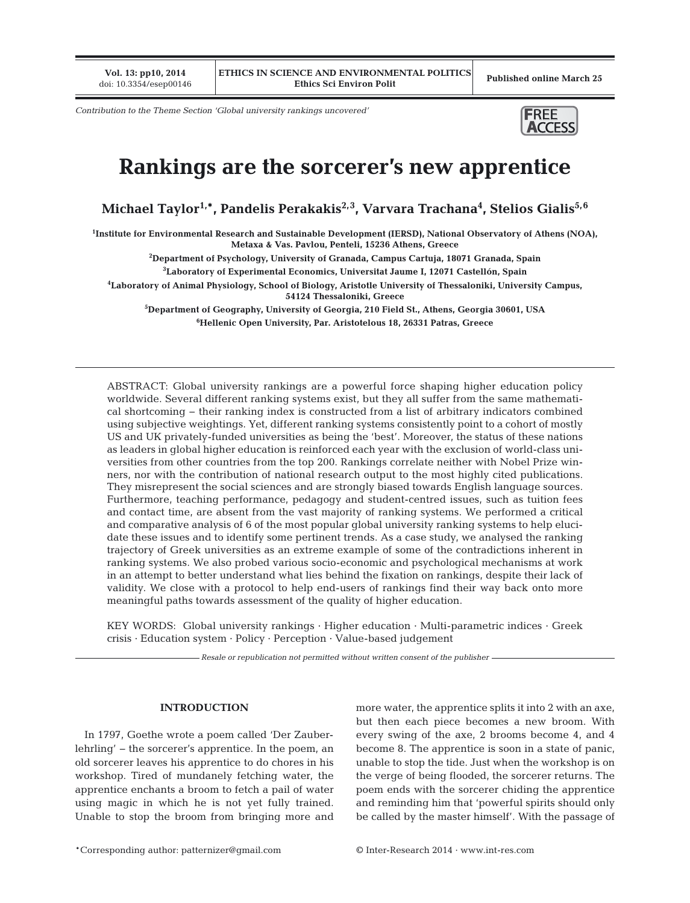**Vol. 13: pp10, 2014**

*Contribution to the Theme Section 'Global university rankings uncovered'*



# **Rankings are the sorcerer's new apprentice**

**Michael Taylor1,\*, Pandelis Perakakis2,3, Varvara Trachana4 , Stelios Gialis5,6**

**1 Institute for Environmental Research and Sustainable Development (IERSD), National Observatory of Athens (NOA), Metaxa & Vas. Pavlou, Penteli, 15236 Athens, Greece**

**2 Department of Psychology, University of Granada, Campus Cartuja, 18071 Granada, Spain**

**3 Laboratory of Experimental Economics, Universitat Jaume I, 12071 Castellón, Spain**

**4 Laboratory of Animal Physiology, School of Biology, Aristotle University of Thessaloniki, University Campus, 54124 Thessaloniki, Greece**

**5 Department of Geography, University of Georgia, 210 Field St., Athens, Georgia 30601, USA 6 Hellenic Open University, Par. Aristotelous 18, 26331 Patras, Greece**

ABSTRACT: Global university rankings are a powerful force shaping higher education policy worldwide. Several different ranking systems exist, but they all suffer from the same mathematical shortcoming − their ranking index is constructed from a list of arbitrary indicators combined using subjective weightings. Yet, different ranking systems consistently point to a cohort of mostly US and UK privately-funded universities as being the 'best'. Moreover, the status of these nations as leaders in global higher education is reinforced each year with the exclusion of world-class universities from other countries from the top 200. Rankings correlate neither with Nobel Prize winners, nor with the contribution of national research output to the most highly cited publications. They misrepresent the social sciences and are strongly biased towards English language sources. Furthermore, teaching performance, pedagogy and student-centred issues, such as tuition fees and contact time, are absent from the vast majority of ranking systems. We performed a critical and comparative analysis of 6 of the most popular global university ranking systems to help elucidate these issues and to identify some pertinent trends. As a case study, we analysed the ranking trajectory of Greek universities as an extreme example of some of the contradictions inherent in ranking systems. We also probed various socio-economic and psychological mechanisms at work in an attempt to better understand what lies behind the fixation on rankings, despite their lack of validity. We close with a protocol to help end-users of rankings find their way back onto more meaningful paths towards assessment of the quality of higher education.

KEY WORDS: Global university rankings · Higher education · Multi-parametric indices · Greek crisis · Education system · Policy · Perception · Value-based judgement

*Resale or republication not permitted without written consent of the publisher*

# **INTRODUCTION**

In 1797, Goethe wrote a poem called 'Der Zauberlehrling' − the sorcerer's apprentice. In the poem, an old sorcerer leaves his apprentice to do chores in his workshop. Tired of mundanely fetching water, the apprentice enchants a broom to fetch a pail of water using magic in which he is not yet fully trained. Unable to stop the broom from bringing more and more water, the apprentice splits it into 2 with an axe, but then each piece becomes a new broom. With every swing of the axe, 2 brooms become 4, and 4 become 8. The apprentice is soon in a state of panic, unable to stop the tide. Just when the workshop is on the verge of being flooded, the sorcerer returns. The poem ends with the sorcerer chiding the apprentice and reminding him that 'powerful spirits should only be called by the master himself'. With the passage of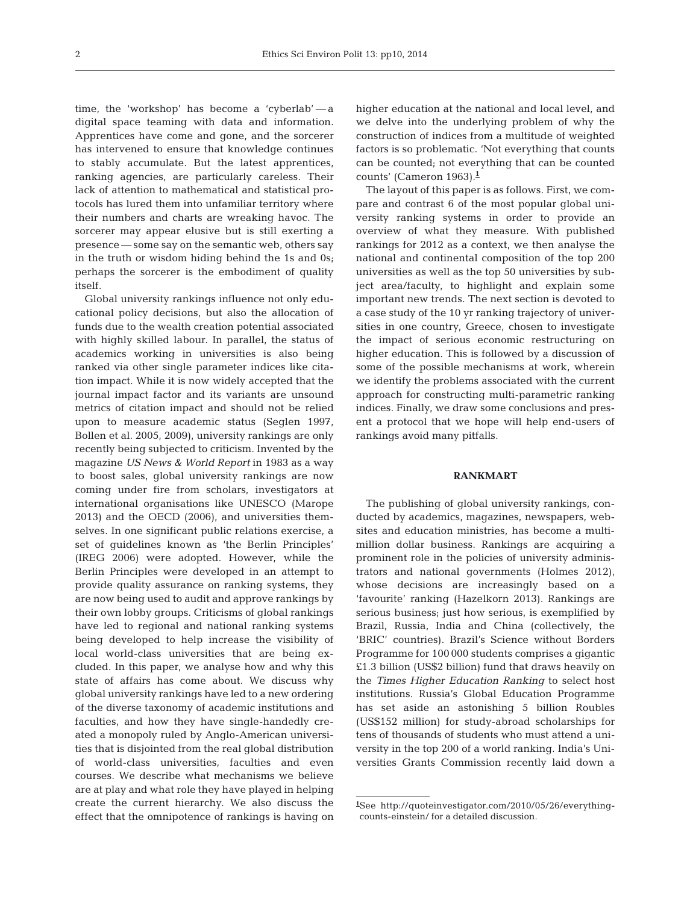time, the 'workshop' has become a 'cyberlab' — a digital space teaming with data and information. Apprentices have come and gone, and the sorcerer has intervened to ensure that knowledge continues to stably accumulate. But the latest apprentices, ranking agencies, are particularly careless. Their lack of attention to mathematical and statistical protocols has lured them into unfamiliar territory where their numbers and charts are wreaking havoc. The sorcerer may appear elusive but is still exerting a presence — some say on the semantic web, others say in the truth or wisdom hiding behind the 1s and 0s; perhaps the sorcerer is the embodiment of quality itself.

Global university rankings influence not only educational policy decisions, but also the allocation of funds due to the wealth creation potential associated with highly skilled labour. In parallel, the status of academics working in universities is also being ranked via other single parameter indices like citation impact. While it is now widely accepted that the journal impact factor and its variants are unsound metrics of citation impact and should not be relied upon to measure academic status (Seglen 1997, Bollen et al. 2005, 2009), university rankings are only recently being subjected to criticism. Invented by the magazine *US News & World Report* in 1983 as a way to boost sales, global university rankings are now coming under fire from scholars, investigators at international organisations like UNESCO (Marope 2013) and the OECD (2006), and universities themselves. In one significant public relations exercise, a set of guidelines known as 'the Berlin Principles' (IREG 2006) were adopted. However, while the Berlin Principles were developed in an attempt to provide quality assurance on ranking systems, they are now being used to audit and approve rankings by their own lobby groups. Criticisms of global rankings have led to regional and national ranking systems being developed to help increase the visibility of local world-class universities that are being excluded. In this paper, we analyse how and why this state of affairs has come about. We discuss why global university rankings have led to a new ordering of the diverse taxonomy of academic institutions and faculties, and how they have single-handedly created a monopoly ruled by Anglo-American universities that is disjointed from the real global distribution of world-class universities, faculties and even courses. We describe what mechanisms we believe are at play and what role they have played in helping create the current hierarchy. We also discuss the effect that the omnipotence of rankings is having on

higher education at the national and local level, and we delve into the underlying problem of why the construction of indices from a multitude of weighted factors is so problematic. 'Not everything that counts can be counted; not everything that can be counted counts' (Cameron 1963).**<sup>1</sup>**

The layout of this paper is as follows. First, we compare and contrast 6 of the most popular global university ranking systems in order to provide an overview of what they measure. With published rankings for 2012 as a context, we then analyse the national and continental composition of the top 200 universities as well as the top 50 universities by subject area/faculty, to highlight and explain some important new trends. The next section is devoted to a case study of the 10 yr ranking trajectory of universities in one country, Greece, chosen to investigate the impact of serious economic restructuring on higher education. This is followed by a discussion of some of the possible mechanisms at work, wherein we identify the problems associated with the current approach for constructing multi-parametric ranking indices. Finally, we draw some conclusions and present a protocol that we hope will help end-users of rankings avoid many pitfalls.

## **RANKMART**

The publishing of global university rankings, conducted by academics, magazines, newspapers, websites and education ministries, has become a multimillion dollar business. Rankings are acquiring a prominent role in the policies of university administrators and national governments (Holmes 2012), whose decisions are increasingly based on a 'favourite' ranking (Hazelkorn 2013). Rankings are serious business; just how serious, is exemplified by Brazil, Russia, India and China (collectively, the 'BRIC' countries). Brazil's Science without Borders Programme for 100 000 students comprises a gigantic £1.3 billion (US\$2 billion) fund that draws heavily on the *Times Higher Education Ranking* to select host institutions. Russia's Global Education Programme has set aside an astonishing 5 billion Roubles (US\$152 million) for study-abroad scholarships for tens of thousands of students who must attend a university in the top 200 of a world ranking. India's Universities Grants Commission recently laid down a

<sup>&</sup>lt;sup>1</sup>See http://quoteinvestigator.com/2010/05/26/everythingcounts-einstein/ for a detailed discussion.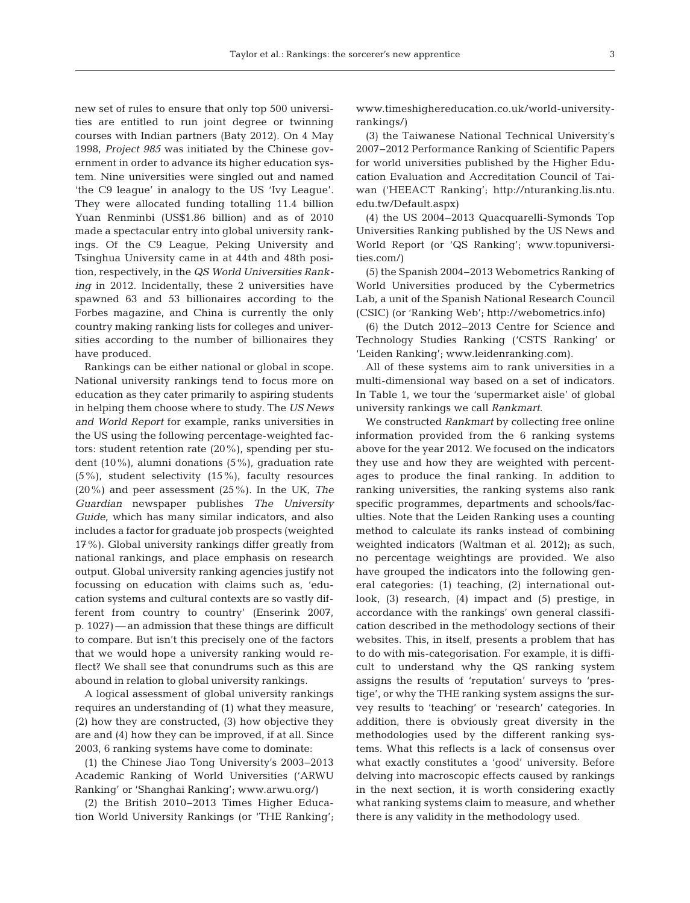new set of rules to ensure that only top 500 universities are entitled to run joint degree or twinning courses with Indian partners (Baty 2012). On 4 May 1998, *Project 985* was initiated by the Chinese government in order to advance its higher education system. Nine universities were singled out and named 'the C9 league' in analogy to the US 'Ivy League'. They were allocated funding totalling 11.4 billion Yuan Renminbi (US\$1.86 billion) and as of 2010 made a spectacular entry into global university rankings. Of the C9 League, Peking University and Tsinghua University came in at 44th and 48th position, respectively, in the *QS World Universities Ranking* in 2012. Incidentally, these 2 universities have spawned 63 and 53 billionaires according to the Forbes magazine, and China is currently the only country making ranking lists for colleges and universities according to the number of billionaires they have produced.

Rankings can be either national or global in scope. National university rankings tend to focus more on education as they cater primarily to aspiring students in helping them choose where to study. The *US News and World Report* for example, ranks universities in the US using the following percentage-weighted factors: student retention rate (20%), spending per student (10%), alumni donations (5%), graduation rate (5%), student selectivity (15%), faculty resources (20%) and peer assessment (25%). In the UK, *The Guardian* newspaper publishes *The University Guide,* which has many similar indicators, and also includes a factor for graduate job prospects (weighted 17%). Global university rankings differ greatly from national rankings, and place emphasis on research output. Global university ranking agencies justify not focussing on education with claims such as, 'education systems and cultural contexts are so vastly different from country to country' (Enserink 2007, p. 1027) — an admission that these things are difficult to compare. But isn't this precisely one of the factors that we would hope a university ranking would reflect? We shall see that conundrums such as this are abound in relation to global university rankings.

A logical assessment of global university rankings requires an understanding of (1) what they measure, (2) how they are constructed, (3) how objective they are and (4) how they can be improved, if at all. Since 2003, 6 ranking systems have come to dominate:

(1) the Chinese Jiao Tong University's 2003−2013 Academic Ranking of World Universities ('ARWU Ranking' or 'Shanghai Ranking'; www. arwu. org/)

(2) the British 2010−2013 Times Higher Education World University Rankings (or 'THE Ranking'; www. timeshighereducation. co. uk/ world-universityrankings/)

(3) the Taiwanese National Technical University's 2007−2012 Performance Ranking of Scientific Papers for world universities published by the Higher Education Evaluation and Accreditation Council of Taiwan ('HEEACT Ranking'; http://nturanking.lis.ntu. edu.tw/Default.aspx)

(4) the US 2004−2013 Quacquarelli-Symonds Top Universities Ranking published by the US News and World Report (or 'QS Ranking'; www.topuniversities.com/)

(5) the Spanish 2004−2013 Webometrics Ranking of World Universities produced by the Cybermetrics Lab, a unit of the Spanish National Research Council (CSIC) (or 'Ranking Web'; http://webometrics.info)

(6) the Dutch 2012−2013 Centre for Science and Technology Studies Ranking ('CSTS Ranking' or 'Leiden Ranking'; www. leidenranking. com).

All of these systems aim to rank universities in a multi-dimensional way based on a set of indicators. In Table 1, we tour the 'supermarket aisle' of global university rankings we call *Rankmart*.

We constructed *Rankmart* by collecting free online information provided from the 6 ranking systems above for the year 2012. We focused on the indicators they use and how they are weighted with percentages to produce the final ranking. In addition to ranking universities, the ranking systems also rank specific programmes, departments and schools/faculties. Note that the Leiden Ranking uses a counting method to calculate its ranks instead of combining weighted indicators (Waltman et al. 2012); as such, no percentage weightings are provided. We also have grouped the indicators into the following general categories: (1) teaching, (2) international outlook, (3) research, (4) impact and (5) prestige, in accordance with the rankings' own general classification described in the methodology sections of their websites. This, in itself, presents a problem that has to do with mis-categorisation. For example, it is difficult to understand why the QS ranking system assigns the results of 'reputation' surveys to 'prestige', or why the THE ranking system assigns the survey results to 'teaching' or 'research' categories. In addition, there is obviously great diversity in the methodologies used by the different ranking systems. What this reflects is a lack of consensus over what exactly constitutes a 'good' university. Before delving into macroscopic effects caused by rankings in the next section, it is worth considering exactly what ranking systems claim to measure, and whether there is any validity in the methodology used.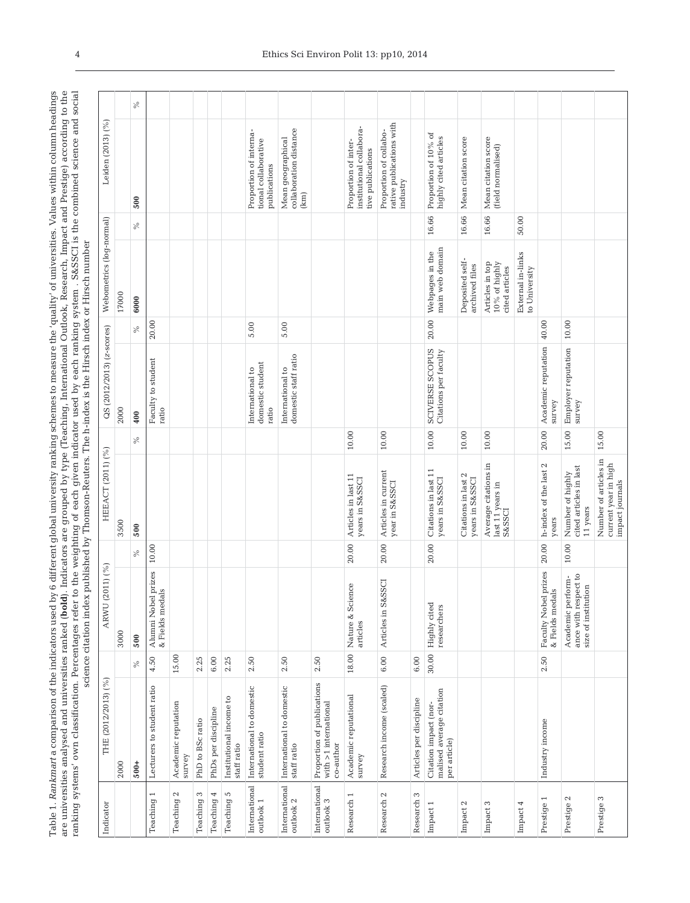Table 1. Rankmarta comparison of the indicators used by 6 different global university ranking schemes to measure the 'quality' of universities. Values within column headings are universities analysed and universities ranke ranking systems' own classification. Percentages refer to the weighting of each given indicator used by each ranking system . S&SSCI is the combined science and social Table 1. *Rankmart* a comparison of the indicators used by 6 different global university ranking schemes to measure the 'quality' of universities. Values within column headings are universities analysed and universities ranked (**bold**). Indicators are grouped by type (Teaching, International Outlook, Research, Impact and Prestige) according to the

| Indicator                           | THE (2012/2013) (%)                                               |        | 11) $(^{96})$<br>ARWU (20                                        |           | HEEACT (2011) (%)                                                        |           | QS (2012/2013) (z-scores)                     |       | Webometrics (log-normal)                                |       | Leiden (2013) (%)                                                     |      |
|-------------------------------------|-------------------------------------------------------------------|--------|------------------------------------------------------------------|-----------|--------------------------------------------------------------------------|-----------|-----------------------------------------------|-------|---------------------------------------------------------|-------|-----------------------------------------------------------------------|------|
|                                     | 2000                                                              |        | 3000                                                             |           | 3500                                                                     |           | 2000                                          |       | 17000                                                   |       |                                                                       |      |
|                                     | $500+$                                                            | ℅      | 500                                                              | $\%$      | 500                                                                      | ℅         | 400                                           | $\%$  | 6000                                                    | %     | 500                                                                   | $\%$ |
| $\overline{ }$<br>Teaching          | Lecturers to student ratio                                        | 4.50   | Alumni Nobel prizes<br>& Fields medals                           | 10.00     |                                                                          |           | Faculty to student<br>ratio                   | 20.00 |                                                         |       |                                                                       |      |
| Teaching 2                          | Academic reputation<br>survey                                     | 15.00  |                                                                  |           |                                                                          |           |                                               |       |                                                         |       |                                                                       |      |
| Teaching 3                          | PhD to BSc ratio                                                  | 2.25   |                                                                  |           |                                                                          |           |                                               |       |                                                         |       |                                                                       |      |
| 4<br>Teaching                       | PhDs per discipline                                               | $6.00$ |                                                                  |           |                                                                          |           |                                               |       |                                                         |       |                                                                       |      |
| Teaching 5                          | Institutional income to<br>staff ratio                            | 2.25   |                                                                  |           |                                                                          |           |                                               |       |                                                         |       |                                                                       |      |
| International<br>$\mbox{outlook}$ 1 | International to domestic<br>student ratio                        | 2.50   |                                                                  |           |                                                                          |           | domestic student<br>International to<br>ratio | 5.00  |                                                         |       | Proportion of interna-<br>tional collaborative<br>publications        |      |
| International<br>outlook $2\,$      | International to domestic<br>staff ratio                          | 2.50   |                                                                  |           |                                                                          |           | domestic staff ratio<br>International to      | 5.00  |                                                         |       | collaboration distance<br>Mean geographical<br>(km)                   |      |
| International<br>outlook 3          | Proportion of publications<br>with >1 international<br>co-author  | 2.50   |                                                                  |           |                                                                          |           |                                               |       |                                                         |       |                                                                       |      |
| $\overline{ }$<br>Research          | Academic reputational<br>survey                                   | 18.00  | $\mathbb O$<br>Nature & Scienc<br>articles                       | 20.00     | Articles in last 11<br>years in S&SSCI                                   | $10.00\,$ |                                               |       |                                                         |       | institutional collabora-<br>Proportion of inter-<br>tive publications |      |
| $\mathbb{C}^2$<br>Research          | Research income (scaled)                                          | $6.00$ | ō<br>Articles in S&SS                                            | 20.00     | Articles in current<br>year in S&SSCI                                    | 10.00     |                                               |       |                                                         |       | rative publications with<br>Proportion of collabo-<br>industry        |      |
| Research 3                          | Articles per discipline                                           | $6.00$ |                                                                  |           |                                                                          |           |                                               |       |                                                         |       |                                                                       |      |
| Impact 1                            | Citation impact (nor-<br>malised average citation<br>per article) | 30.00  | Highly cited<br>researchers                                      | 20.00     | Citations in last 11<br>years in S&SSCI                                  | $10.00\,$ | SCIVERSE SCOPUS<br>Citations per faculty      | 20.00 | main web domain<br>Webpages in the                      | 16.66 | Proportion of 10% of<br>highly cited articles                         |      |
| Impact 2                            |                                                                   |        |                                                                  |           | Citations in last 2<br>years in S&SSCI                                   | $10.00\,$ |                                               |       | Deposited self-<br>archived files                       | 16.66 | Mean citation score                                                   |      |
| Impact 3                            |                                                                   |        |                                                                  |           | Average citations in<br>${\rm last \; 11 \; years \; in}$ ${\rm S\&SCI}$ | 10.00     |                                               |       | Articles in top<br>$10\,\%$ of highly<br>cited articles | 16.66 | Mean citation score<br>(field normalised)                             |      |
| Impact 4                            |                                                                   |        |                                                                  |           |                                                                          |           |                                               |       | External in-links<br>to University                      | 50.00 |                                                                       |      |
| Prestige 1                          | Industry income                                                   | 2.50   | Faculty Nobel prizes<br>& Fields medals                          | 20.00     | h-index of the last 2<br>years                                           | 20.00     | Academic reputation<br>survey                 | 40.00 |                                                         |       |                                                                       |      |
| Prestige 2                          |                                                                   |        | ance with respect to<br>size of institution<br>Academic perform- | $10.00\,$ | cited articles in last<br>Number of highly<br>11 years                   | 15.00     | Employer reputation<br>survey                 | 10.00 |                                                         |       |                                                                       |      |
| Prestige 3                          |                                                                   |        |                                                                  |           | Number of articles in<br>current year in high<br>impact journals         | 15.00     |                                               |       |                                                         |       |                                                                       |      |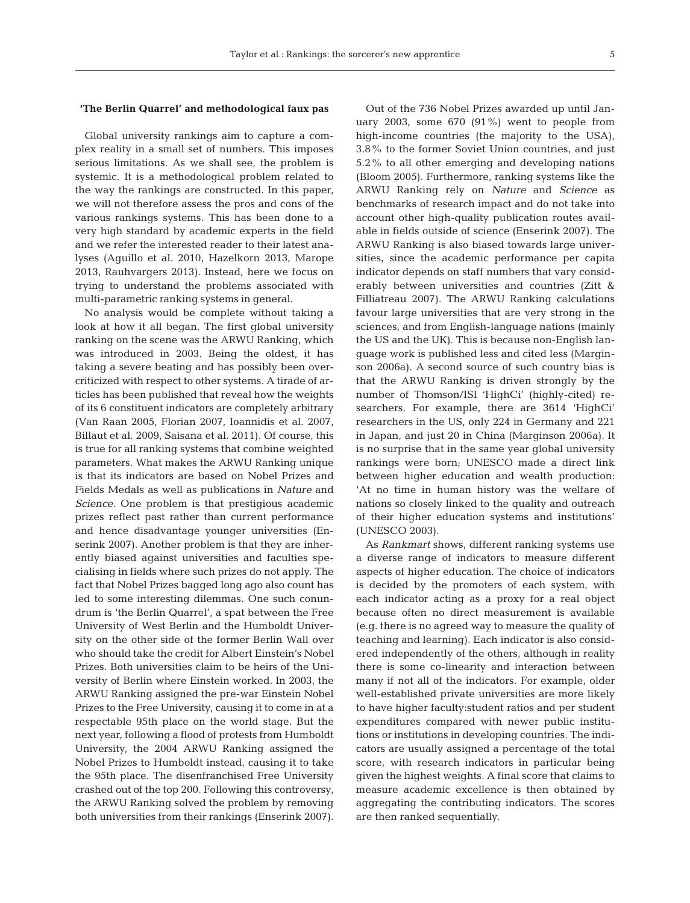#### **'The Berlin Quarrel' and methodological faux pas**

Global university rankings aim to capture a complex reality in a small set of numbers. This imposes serious limitations. As we shall see, the problem is systemic. It is a methodological problem related to the way the rankings are constructed. In this paper, we will not therefore assess the pros and cons of the various rankings systems. This has been done to a very high standard by academic experts in the field and we refer the interested reader to their latest ana lyses (Aguillo et al. 2010, Hazelkorn 2013, Marope 2013, Rauhvargers 2013). Instead, here we focus on trying to understand the problems associated with multi-parametric ranking systems in general.

No analysis would be complete without taking a look at how it all began. The first global university ranking on the scene was the ARWU Ranking, which was introduced in 2003. Being the oldest, it has taking a severe beating and has possibly been overcriticized with respect to other systems. A tirade of articles has been published that reveal how the weights of its 6 constituent indicators are completely arbitrary (Van Raan 2005, Florian 2007, Ioannidis et al. 2007, Billaut et al. 2009, Saisana et al. 2011). Of course, this is true for all ranking systems that combine weighted parameters. What makes the ARWU Ranking unique is that its indicators are based on Nobel Prizes and Fields Medals as well as publications in *Nature* and *Science.* One problem is that prestigious academic prizes reflect past rather than current performance and hence disadvantage younger universities (Enserink 2007). Another problem is that they are inherently biased against universities and faculties specialising in fields where such prizes do not apply. The fact that Nobel Prizes bagged long ago also count has led to some interesting dilemmas. One such conundrum is 'the Berlin Quarrel', a spat between the Free University of West Berlin and the Humboldt University on the other side of the former Berlin Wall over who should take the credit for Albert Einstein's Nobel Prizes. Both universities claim to be heirs of the University of Berlin where Einstein worked. In 2003, the ARWU Ranking assigned the pre-war Einstein Nobel Prizes to the Free University, causing it to come in at a respectable 95th place on the world stage. But the next year, following a flood of protests from Humboldt University, the 2004 ARWU Ranking assigned the Nobel Prizes to Humboldt instead, causing it to take the 95th place. The disenfranchised Free University crashed out of the top 200. Following this controversy, the ARWU Ranking solved the problem by removing both universities from their rankings (Enserink 2007).

Out of the 736 Nobel Prizes awarded up until January 2003, some 670 (91%) went to people from high-income countries (the majority to the USA), 3.8% to the former Soviet Union countries, and just 5.2% to all other emerging and developing nations (Bloom 2005). Furthermore, ranking systems like the ARWU Ranking rely on *Nature* and *Science* as benchmarks of research impact and do not take into account other high-quality publication routes available in fields outside of science (Enserink 2007). The ARWU Ranking is also biased towards large universities, since the academic performance per capita indicator depends on staff numbers that vary considerably between universities and countries (Zitt & Filliatreau 2007). The ARWU Ranking calculations favour large universities that are very strong in the sciences, and from English-language nations (mainly the US and the UK). This is because non-English language work is published less and cited less (Marginson 2006a). A second source of such country bias is that the ARWU Ranking is driven strongly by the number of Thomson/ISI 'HighCi' (highly-cited) re searchers. For example, there are 3614 'HighCi' researchers in the US, only 224 in Germany and 221 in Japan, and just 20 in China (Marginson 2006a). It is no surprise that in the same year global university rankings were born; UNESCO made a direct link between higher education and wealth production: 'At no time in human history was the welfare of nations so closely linked to the quality and outreach of their higher education systems and institutions' (UNESCO 2003).

As *Rankmart* shows, different ranking systems use a diverse range of indicators to measure different aspects of higher education. The choice of indicators is decided by the promoters of each system, with each indicator acting as a proxy for a real object because often no direct measurement is available (e.g. there is no agreed way to measure the quality of teaching and learning). Each indicator is also considered independently of the others, although in reality there is some co-linearity and interaction between many if not all of the indicators. For example, older well-established private universities are more likely to have higher faculty:student ratios and per student expenditures compared with newer public institutions or institutions in developing countries. The indicators are usually assigned a percentage of the total score, with research indicators in particular being given the highest weights. A final score that claims to measure academic excellence is then obtained by aggregating the contributing indicators. The scores are then ranked sequentially.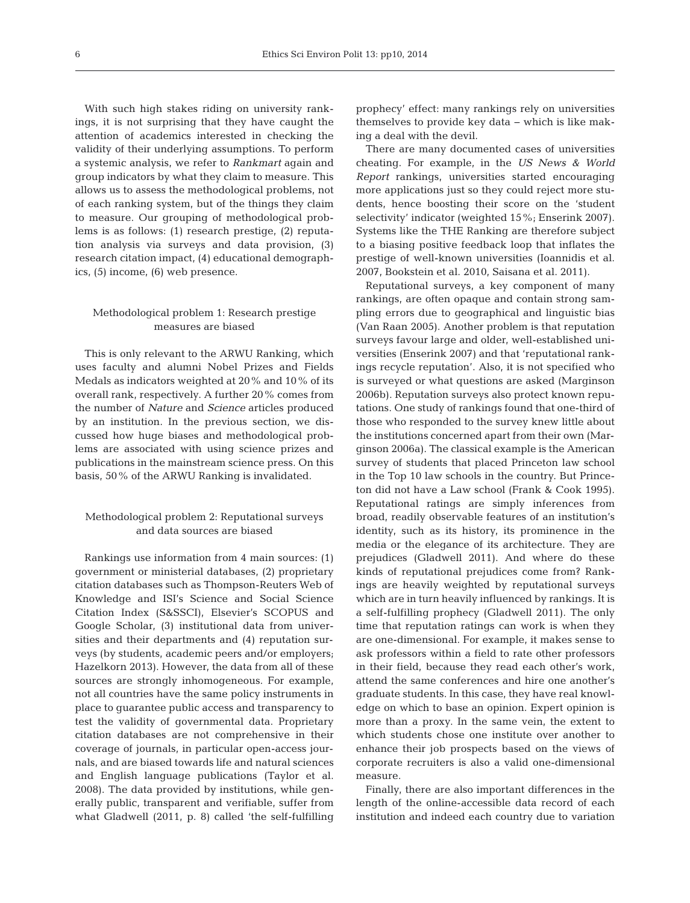With such high stakes riding on university rankings, it is not surprising that they have caught the attention of academics interested in checking the validity of their underlying assumptions. To perform a systemic analysis, we refer to *Rankmart* again and group indicators by what they claim to measure. This allows us to assess the methodological problems, not of each ranking system, but of the things they claim to measure. Our grouping of methodological problems is as follows: (1) research prestige, (2) reputation analysis via surveys and data provision, (3) research citation impact, (4) educational demographics, (5) income, (6) web presence.

# Methodological problem 1: Research prestige measures are biased

This is only relevant to the ARWU Ranking, which uses faculty and alumni Nobel Prizes and Fields Medals as indicators weighted at 20% and 10% of its overall rank, respectively. A further 20% comes from the number of *Nature* and *Science* articles produced by an institution. In the previous section, we discussed how huge biases and methodological problems are associated with using science prizes and publications in the mainstream science press. On this basis, 50% of the ARWU Ranking is invalidated.

# Methodological problem 2: Reputational surveys and data sources are biased

Rankings use information from 4 main sources: (1) government or ministerial databases, (2) proprietary citation databases such as Thompson-Reuters Web of Knowledge and ISI's Science and Social Science Citation Index (S&SSCI), Elsevier's SCOPUS and Google Scholar, (3) institutional data from universities and their departments and (4) reputation surveys (by students, academic peers and/or employers; Hazelkorn 2013). However, the data from all of these sources are strongly inhomogeneous. For example, not all countries have the same policy instruments in place to guarantee public access and transparency to test the validity of governmental data. Proprietary citation databases are not comprehensive in their coverage of journals, in particular open-access journals, and are biased towards life and natural sciences and English language publications (Taylor et al. 2008). The data provided by institutions, while generally public, transparent and verifiable, suffer from what Gladwell (2011, p. 8) called 'the self-fulfilling

prophecy' effect: many rankings rely on universities themselves to provide key data − which is like making a deal with the devil.

There are many documented cases of universities cheating. For example, in the *US News & World Report* rankings, universities started encouraging more applications just so they could reject more students, hence boosting their score on the 'student selectivity' indicator (weighted 15%; Enserink 2007). Systems like the THE Ranking are therefore subject to a biasing positive feedback loop that inflates the prestige of well-known universities (Ioannidis et al. 2007, Bookstein et al. 2010, Saisana et al. 2011).

Reputational surveys, a key component of many rankings, are often opaque and contain strong sampling errors due to geographical and linguistic bias (Van Raan 2005). Another problem is that reputation surveys favour large and older, well-established universities (Enserink 2007) and that 'reputational rankings recycle reputation'. Also, it is not specified who is surveyed or what questions are asked (Marginson 2006b). Reputation surveys also protect known reputations. One study of rankings found that one-third of those who responded to the survey knew little about the institutions concerned apart from their own (Marginson 2006a). The classical example is the American survey of students that placed Princeton law school in the Top 10 law schools in the country. But Princeton did not have a Law school (Frank & Cook 1995). Reputational ratings are simply inferences from broad, readily observable features of an institution's identity, such as its history, its prominence in the media or the elegance of its architecture. They are prejudices (Gladwell 2011). And where do these kinds of reputational prejudices come from? Rankings are heavily weighted by reputational surveys which are in turn heavily influenced by rankings. It is a self-fulfilling prophecy (Gladwell 2011). The only time that reputation ratings can work is when they are one-dimensional. For example, it makes sense to ask professors within a field to rate other professors in their field, because they read each other's work, attend the same conferences and hire one another's graduate students. In this case, they have real knowledge on which to base an opinion. Expert opinion is more than a proxy. In the same vein, the extent to which students chose one institute over another to enhance their job prospects based on the views of corporate recruiters is also a valid one-dimensional measure.

Finally, there are also important differences in the length of the online-accessible data record of each institution and indeed each country due to variation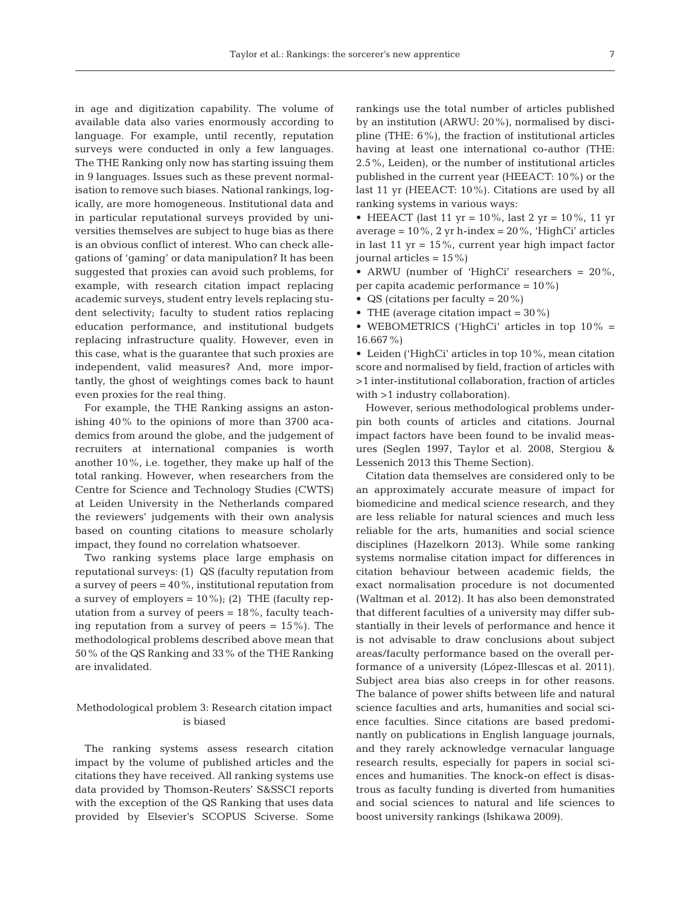in age and digitization capability. The volume of available data also varies enormously according to language. For example, until recently, reputation surveys were conducted in only a few languages. The THE Ranking only now has starting issuing them in 9 languages. Issues such as these prevent normalisation to remove such biases. National rankings, logically, are more homogeneous. Institutional data and in particular reputational surveys provided by universities themselves are subject to huge bias as there is an obvious conflict of interest. Who can check allegations of 'gaming' or data manipulation? It has been suggested that proxies can avoid such problems, for example, with research citation impact replacing academic surveys, student entry levels replacing student selectivity; faculty to student ratios replacing education performance, and institutional budgets replacing infrastructure quality. However, even in this case, what is the guarantee that such proxies are independent, valid measures? And, more importantly, the ghost of weightings comes back to haunt even proxies for the real thing.

For example, the THE Ranking assigns an astonishing 40% to the opinions of more than 3700 academics from around the globe, and the judgement of recruiters at international companies is worth another 10%, i.e. together, they make up half of the total ranking. However, when researchers from the Centre for Science and Technology Studies (CWTS) at Leiden University in the Netherlands compared the reviewers' judgements with their own analysis based on counting citations to measure scholarly impact, they found no correlation whatsoever.

Two ranking systems place large emphasis on reputational surveys: (1) QS (faculty reputation from a survey of peers = 40%, institutional reputation from a survey of employers =  $10\%$ ); (2) THE (faculty reputation from a survey of peers  $= 18\%$ , faculty teaching reputation from a survey of peers = 15%). The methodological problems described above mean that 50% of the QS Ranking and 33% of the THE Ranking are invalidated.

# Methodological problem 3: Research citation impact is biased

The ranking systems assess research citation impact by the volume of published articles and the citations they have received. All ranking systems use data provided by Thomson-Reuters' S&SSCI reports with the exception of the QS Ranking that uses data provided by Elsevier's SCOPUS Sciverse. Some rankings use the total number of articles published by an institution (ARWU: 20%), normalised by discipline (THE: 6%), the fraction of institutional articles having at least one international co-author (THE: 2.5%, Leiden), or the number of institutional articles published in the current year (HEEACT: 10%) or the last 11 yr (HEEACT: 10%). Citations are used by all ranking systems in various ways:

• HEEACT (last 11 yr =  $10\%$ , last 2 yr =  $10\%$ , 11 yr average =  $10\%$ , 2 yr h-index =  $20\%$ , 'HighCi' articles in last 11  $yr = 15\%$ , current year high impact factor journal articles =  $15\%$ )

• ARWU (number of 'HighCi' researchers = 20%, per capita academic performance = 10%)

• QS (citations per faculty =  $20\%$ )

• THE (average citation impact =  $30\%$ )

• WEBOMETRICS ('HighCi' articles in top 10% = 16.667%)

• Leiden ('HighCi' articles in top 10%, mean citation score and normalised by field, fraction of articles with >1 inter-institutional collaboration, fraction of articles with >1 industry collaboration).

However, serious methodological problems underpin both counts of articles and citations. Journal impact factors have been found to be invalid measures (Seglen 1997, Taylor et al. 2008, Stergiou & Lessenich 2013 this Theme Section).

Citation data themselves are considered only to be an approximately accurate measure of impact for biomedicine and medical science research, and they are less reliable for natural sciences and much less reliable for the arts, humanities and social science disciplines (Hazelkorn 2013). While some ranking systems normalise citation impact for differences in citation behaviour between academic fields, the exact normalisation procedure is not documented (Waltman et al. 2012). It has also been demonstrated that different faculties of a university may differ substantially in their levels of performance and hence it is not advisable to draw conclusions about subject areas/faculty performance based on the overall performance of a university (López-Illescas et al. 2011). Subject area bias also creeps in for other reasons. The balance of power shifts between life and natural science faculties and arts, humanities and social science faculties. Since citations are based predominantly on publications in English language journals, and they rarely acknowledge vernacular language research results, especially for papers in social sciences and humanities. The knock-on effect is disastrous as faculty funding is diverted from humanities and social sciences to natural and life sciences to boost university rankings (Ishikawa 2009).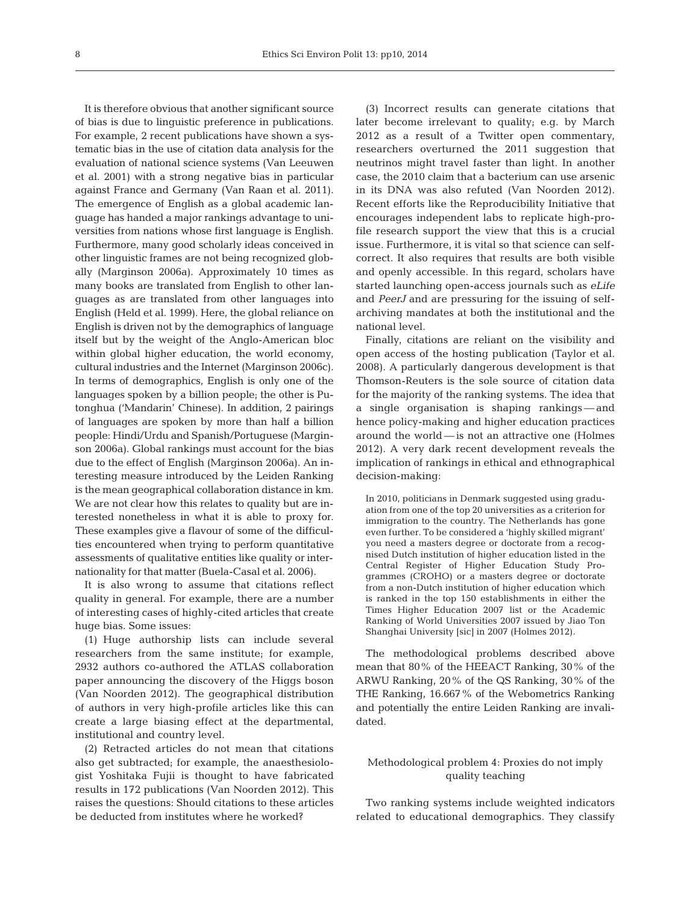It is therefore obvious that another significant source of bias is due to linguistic preference in publications. For example, 2 recent publications have shown a systematic bias in the use of citation data analysis for the evaluation of national science systems (Van Leeuwen et al. 2001) with a strong negative bias in particular against France and Germany (Van Raan et al. 2011). The emergence of English as a global academic language has handed a major rankings advantage to universities from nations whose first language is English. Furthermore, many good scholarly ideas conceived in other linguistic frames are not being recognized globally (Marginson 2006a). Approximately 10 times as many books are translated from English to other languages as are translated from other languages into English (Held et al. 1999). Here, the global reliance on English is driven not by the demographics of language itself but by the weight of the Anglo-American bloc within global higher education, the world economy, cultural industries and the Internet (Marginson 2006c). In terms of demographics, English is only one of the languages spoken by a billion people; the other is Putonghua ('Mandarin' Chinese). In addition, 2 pairings of languages are spoken by more than half a billion people: Hindi/Urdu and Spanish/Portuguese (Marginson 2006a). Global rankings must account for the bias due to the effect of English (Marginson 2006a). An interesting measure introduced by the Leiden Ranking is the mean geographical collaboration distance in km. We are not clear how this relates to quality but are interested nonetheless in what it is able to proxy for. These examples give a flavour of some of the difficulties encountered when trying to perform quantitative assessments of qualitative entities like quality or internationality for that matter (Buela-Casal et al. 2006).

It is also wrong to assume that citations reflect quality in general. For example, there are a number of interesting cases of highly-cited articles that create huge bias. Some issues:

(1) Huge authorship lists can include several researchers from the same institute; for example, 2932 authors co-authored the ATLAS collaboration paper announcing the discovery of the Higgs boson (Van Noorden 2012). The geographical distribution of authors in very high-profile articles like this can create a large biasing effect at the departmental, institutional and country level.

(2) Retracted articles do not mean that citations also get subtracted; for example, the anaesthesiologist Yoshitaka Fujii is thought to have fabricated results in 172 publications (Van Noorden 2012). This raises the questions: Should citations to these articles be deducted from institutes where he worked?

(3) Incorrect results can generate citations that later become irrelevant to quality; e.g. by March 2012 as a result of a Twitter open commentary, researchers overturned the 2011 suggestion that neutrinos might travel faster than light. In another case, the 2010 claim that a bacterium can use arsenic in its DNA was also refuted (Van Noorden 2012). Recent efforts like the Reproducibility Initiative that encourages independent labs to replicate high-profile research support the view that this is a crucial issue. Furthermore, it is vital so that science can selfcorrect. It also requires that results are both visible and openly accessible. In this regard, scholars have started launching open-access journals such as *eLife* and *PeerJ* and are pressuring for the issuing of selfarchiving mandates at both the institutional and the national level.

Finally, citations are reliant on the visibility and open access of the hosting publication (Taylor et al. 2008). A particularly dangerous development is that Thomson-Reuters is the sole source of citation data for the majority of the ranking systems. The idea that a single organisation is shaping rankings — and hence policy-making and higher education practices around the world — is not an attractive one (Holmes 2012). A very dark recent development reveals the implication of rankings in ethical and ethnographical decision-making:

In 2010, politicians in Denmark suggested using graduation from one of the top 20 universities as a criterion for immigration to the country. The Netherlands has gone even further. To be considered a 'highly skilled migrant' you need a masters degree or doctorate from a recognised Dutch institution of higher education listed in the Central Register of Higher Education Study Programmes (CROHO) or a masters degree or doctorate from a non-Dutch institution of higher education which is ranked in the top 150 establishments in either the Times Higher Education 2007 list or the Academic Ranking of World Universities 2007 issued by Jiao Ton Shanghai University [sic] in 2007 (Holmes 2012).

The methodological problems described above mean that 80% of the HEEACT Ranking, 30% of the ARWU Ranking, 20% of the QS Ranking, 30% of the THE Ranking, 16.667% of the Webometrics Ranking and potentially the entire Leiden Ranking are invalidated.

# Methodological problem 4: Proxies do not imply quality teaching

Two ranking systems include weighted indicators related to educational demographics. They classify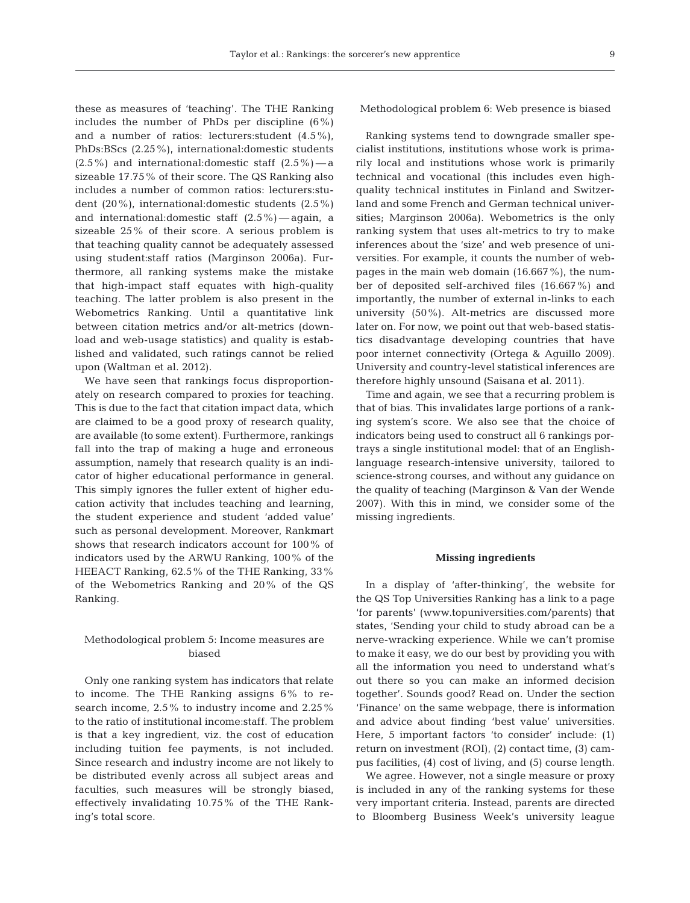these as measures of 'teaching'. The THE Ranking includes the number of PhDs per discipline (6%) and a number of ratios: lecturers:student (4.5%), PhDs: BScs (2.25%), international:domestic students  $(2.5\%)$  and international: domestic staff  $(2.5\%)$  — a sizeable 17.75% of their score. The QS Ranking also includes a number of common ratios: lecturers:student (20%), international:domestic students (2.5%) and international: domestic staff  $(2.5\%)$  — again, a sizeable 25% of their score. A serious problem is that teaching quality cannot be adequately assessed using student:staff ratios (Marginson 2006a). Furthermore, all ranking systems make the mistake that high-impact staff equates with high-quality teaching. The latter problem is also present in the Webometrics Ranking. Until a quantitative link between citation metrics and/or alt-metrics (download and web-usage statistics) and quality is established and validated, such ratings cannot be relied upon (Waltman et al. 2012).

We have seen that rankings focus disproportionately on research compared to proxies for teaching. This is due to the fact that citation impact data, which are claimed to be a good proxy of research quality, are available (to some extent). Furthermore, rankings fall into the trap of making a huge and erroneous assumption, namely that research quality is an indicator of higher educational performance in general. This simply ignores the fuller extent of higher education activity that includes teaching and learning, the student experience and student 'added value' such as personal development. Moreover, Rankmart shows that research indicators account for 100% of indicators used by the ARWU Ranking, 100% of the HEEACT Ranking, 62.5% of the THE Ranking, 33% of the Webometrics Ranking and 20% of the QS Ranking.

# Methodological problem 5: Income measures are biased

Only one ranking system has indicators that relate to income. The THE Ranking assigns 6% to research income, 2.5% to industry income and 2.25% to the ratio of institutional income:staff. The problem is that a key ingredient, viz. the cost of education including tuition fee payments, is not included. Since research and industry income are not likely to be distributed evenly across all subject areas and faculties, such measures will be strongly biased, effectively invalidating 10.75% of the THE Ranking's total score.

Methodological problem 6: Web presence is biased

Ranking systems tend to downgrade smaller specialist institutions, institutions whose work is primarily local and institutions whose work is primarily technical and vocational (this includes even highquality technical institutes in Finland and Switzerland and some French and German technical universities; Marginson 2006a). Webometrics is the only ranking system that uses alt-metrics to try to make inferences about the 'size' and web presence of universities. For example, it counts the number of webpages in the main web domain (16.667%), the number of deposited self-archived files (16.667%) and importantly, the number of external in-links to each university (50%). Alt-metrics are discussed more later on. For now, we point out that web-based statistics disadvantage developing countries that have poor internet connectivity (Ortega & Aguillo 2009). University and country-level statistical inferences are therefore highly unsound (Saisana et al. 2011).

Time and again, we see that a recurring problem is that of bias. This invalidates large portions of a ranking system's score. We also see that the choice of indicators being used to construct all 6 rankings portrays a single institutional model: that of an Englishlanguage research-intensive university, tailored to science-strong courses, and without any guidance on the quality of teaching (Marginson & Van der Wende 2007). With this in mind, we consider some of the missing ingredients.

#### **Missing ingredients**

In a display of 'after-thinking', the website for the QS Top Universities Ranking has a link to a page 'for parents' (www.topuniversities.com/parents) that states, 'Sending your child to study abroad can be a nerve-wracking experience. While we can't promise to make it easy, we do our best by providing you with all the information you need to understand what's out there so you can make an informed decision together'. Sounds good? Read on. Under the section 'Finance' on the same webpage, there is information and advice about finding 'best value' universities. Here, 5 important factors 'to consider' include: (1) return on investment (ROI), (2) contact time, (3) campus facilities, (4) cost of living, and (5) course length.

We agree. However, not a single measure or proxy is included in any of the ranking systems for these very important criteria. Instead, parents are directed to Bloomberg Business Week's university league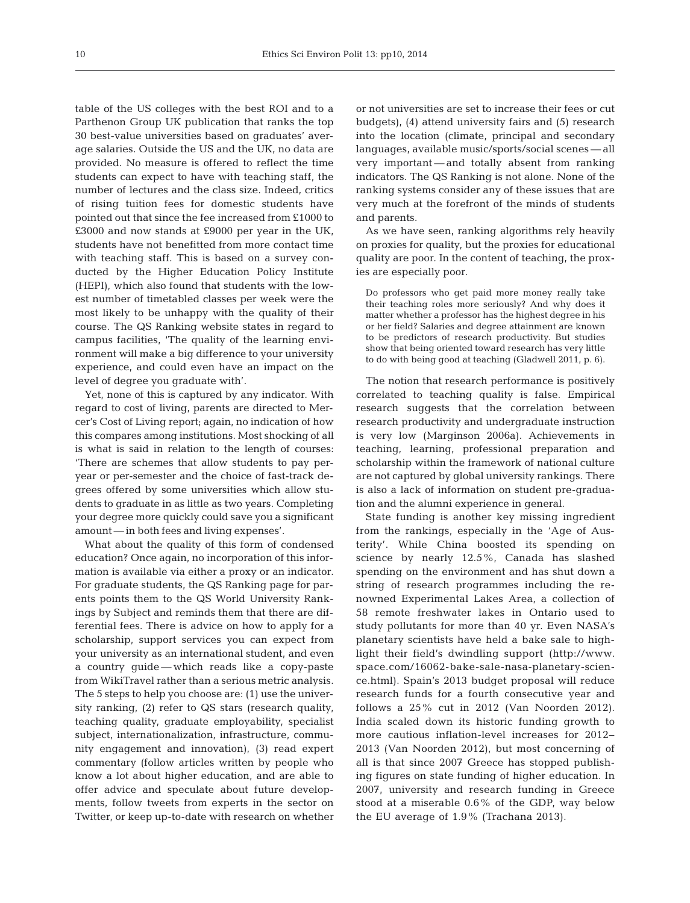table of the US colleges with the best ROI and to a Parthenon Group UK publication that ranks the top 30 best-value universities based on graduates' average salaries. Outside the US and the UK, no data are provided. No measure is offered to reflect the time students can expect to have with teaching staff, the number of lectures and the class size. Indeed, critics of rising tuition fees for domestic students have pointed out that since the fee increased from £1000 to £3000 and now stands at £9000 per year in the UK, students have not benefitted from more contact time with teaching staff. This is based on a survey conducted by the Higher Education Policy Institute (HEPI), which also found that students with the lowest number of timetabled classes per week were the most likely to be unhappy with the quality of their course. The QS Ranking website states in regard to campus facilities, 'The quality of the learning environment will make a big difference to your university experience, and could even have an impact on the level of degree you graduate with'.

Yet, none of this is captured by any indicator. With regard to cost of living, parents are directed to Mercer's Cost of Living report; again, no indication of how this compares among institutions. Most shocking of all is what is said in relation to the length of courses: 'There are schemes that allow students to pay peryear or per-semester and the choice of fast-track degrees offered by some universities which allow students to graduate in as little as two years. Completing your degree more quickly could save you a significant amount — in both fees and living expenses'.

What about the quality of this form of condensed education? Once again, no incorporation of this information is available via either a proxy or an indicator. For graduate students, the QS Ranking page for parents points them to the QS World University Rankings by Subject and reminds them that there are differential fees. There is advice on how to apply for a scholarship, support services you can expect from your university as an international student, and even a country guide — which reads like a copy-paste from WikiTravel rather than a serious metric analysis. The 5 steps to help you choose are: (1) use the university ranking, (2) refer to QS stars (research quality, teaching quality, graduate employability, specialist subject, internationalization, infrastructure, community engagement and innovation), (3) read expert commentary (follow articles written by people who know a lot about higher education, and are able to offer advice and speculate about future developments, follow tweets from experts in the sector on Twitter, or keep up-to-date with research on whether or not universities are set to increase their fees or cut budgets), (4) attend university fairs and (5) research into the location (climate, principal and secondary languages, available music/sports/social scenes — all very important — and totally absent from ranking indicators. The QS Ranking is not alone. None of the ranking systems consider any of these issues that are very much at the forefront of the minds of students and parents.

As we have seen, ranking algorithms rely heavily on proxies for quality, but the proxies for educational quality are poor. In the content of teaching, the proxies are especially poor.

Do professors who get paid more money really take their teaching roles more seriously? And why does it matter whether a professor has the highest degree in his or her field? Salaries and degree attainment are known to be predictors of research productivity. But studies show that being oriented toward research has very little to do with being good at teaching (Gladwell 2011, p. 6).

The notion that research performance is positively correlated to teaching quality is false. Empirical research suggests that the correlation between research productivity and undergraduate instruction is very low (Marginson 2006a). Achievements in teaching, learning, professional preparation and scholarship within the framework of national culture are not captured by global university rankings. There is also a lack of information on student pre-graduation and the alumni experience in general.

State funding is another key missing ingredient from the rankings, especially in the 'Age of Austerity'. While China boosted its spending on science by nearly 12.5%, Canada has slashed spending on the environment and has shut down a string of research programmes including the renowned Experimental Lakes Area, a collection of 58 remote freshwater lakes in Ontario used to study pollutants for more than 40 yr. Even NASA's planetary scientists have held a bake sale to highlight their field's dwindling support (http:// www. space. com/ 16062-bake-sale-nasa-planetary-science. html). Spain's 2013 budget proposal will reduce research funds for a fourth consecutive year and follows a 25% cut in 2012 (Van Noorden 2012). India scaled down its historic funding growth to more cautious inflation-level increases for 2012− 2013 (Van Noorden 2012), but most concerning of all is that since 2007 Greece has stopped publishing figures on state funding of higher education. In 2007, university and research funding in Greece stood at a miserable 0.6% of the GDP, way below the EU average of 1.9% (Trachana 2013).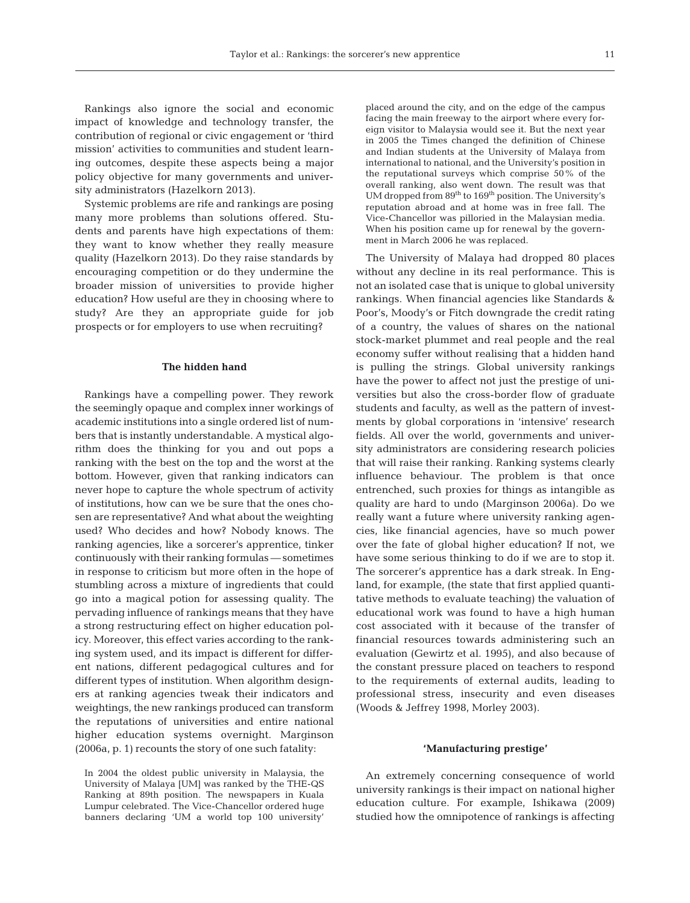Rankings also ignore the social and economic impact of knowledge and technology transfer, the contribution of regional or civic engagement or 'third mission' activities to communities and student learning outcomes, despite these aspects being a major policy objective for many governments and university administrators (Hazelkorn 2013).

Systemic problems are rife and rankings are posing many more problems than solutions offered. Students and parents have high expectations of them: they want to know whether they really measure quality (Hazelkorn 2013). Do they raise standards by encouraging competition or do they undermine the broader mission of universities to provide higher education? How useful are they in choosing where to study? Are they an appropriate guide for job prospects or for employers to use when recruiting?

## **The hidden hand**

Rankings have a compelling power. They rework the seemingly opaque and complex inner workings of academic institutions into a single ordered list of numbers that is instantly understandable. A mystical algorithm does the thinking for you and out pops a ranking with the best on the top and the worst at the bottom. However, given that ranking indicators can never hope to capture the whole spectrum of activity of institutions, how can we be sure that the ones chosen are representative? And what about the weighting used? Who decides and how? Nobody knows. The ranking agencies, like a sorcerer's apprentice, tinker continuously with their ranking formulas — sometimes in response to criticism but more often in the hope of stumbling across a mixture of ingredients that could go into a magical potion for assessing quality. The pervading influence of rankings means that they have a strong restructuring effect on higher education policy. Moreover, this effect varies according to the ranking system used, and its impact is different for different nations, different pedagogical cultures and for different types of institution. When algorithm designers at ranking agencies tweak their indicators and weightings, the new rankings produced can transform the reputations of universities and entire national higher education systems overnight. Marginson (2006a, p. 1) recounts the story of one such fatality:

placed around the city, and on the edge of the campus facing the main freeway to the airport where every foreign visitor to Malaysia would see it. But the next year in 2005 the Times changed the definition of Chinese and Indian students at the University of Malaya from international to national, and the University's position in the reputational surveys which comprise 50% of the overall ranking, also went down. The result was that UM dropped from 89<sup>th</sup> to 169<sup>th</sup> position. The University's reputation abroad and at home was in free fall. The Vice-Chancellor was pilloried in the Malaysian media. When his position came up for renewal by the government in March 2006 he was replaced.

The University of Malaya had dropped 80 places without any decline in its real performance. This is not an isolated case that is unique to global university rankings. When financial agencies like Standards & Poor's, Moody's or Fitch downgrade the credit rating of a country, the values of shares on the national stock-market plummet and real people and the real economy suffer without realising that a hidden hand is pulling the strings. Global university rankings have the power to affect not just the prestige of universities but also the cross-border flow of graduate students and faculty, as well as the pattern of investments by global corporations in 'intensive' research fields. All over the world, governments and university administrators are considering research policies that will raise their ranking. Ranking systems clearly influence behaviour. The problem is that once entrenched, such proxies for things as intangible as quality are hard to undo (Marginson 2006a). Do we really want a future where university ranking agencies, like financial agencies, have so much power over the fate of global higher education? If not, we have some serious thinking to do if we are to stop it. The sorcerer's apprentice has a dark streak. In England, for example, (the state that first applied quantitative methods to evaluate teaching) the valuation of educational work was found to have a high human cost associated with it because of the transfer of financial resources towards administering such an evaluation (Gewirtz et al. 1995), and also because of the constant pressure placed on teachers to respond to the requirements of external audits, leading to professional stress, insecurity and even diseases (Woods & Jeffrey 1998, Morley 2003).

## **'Manufacturing prestige'**

An extremely concerning consequence of world university rankings is their impact on national higher education culture. For example, Ishikawa (2009) studied how the omnipotence of rankings is affecting

In 2004 the oldest public university in Malaysia, the University of Malaya [UM] was ranked by the THE-QS Ranking at 89th position. The newspapers in Kuala Lumpur celebrated. The Vice-Chancellor ordered huge banners declaring 'UM a world top 100 university'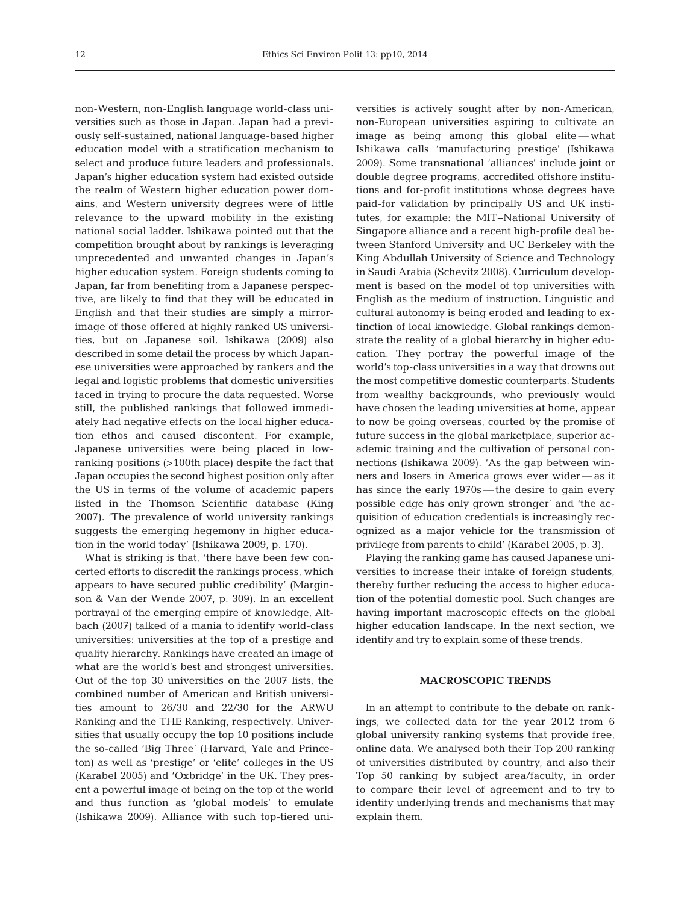non-Western, non-English language world-class universities such as those in Japan. Japan had a previously self-sustained, national language-based higher education model with a stratification mechanism to select and produce future leaders and professionals. Japan's higher education system had existed outside the realm of Western higher education power domains, and Western university degrees were of little relevance to the upward mobility in the existing national social ladder. Ishikawa pointed out that the competition brought about by rankings is leveraging unprecedented and unwanted changes in Japan's higher education system. Foreign students coming to Japan, far from benefiting from a Japanese perspective, are likely to find that they will be educated in English and that their studies are simply a mirrorimage of those offered at highly ranked US universities, but on Japanese soil. Ishikawa (2009) also described in some detail the process by which Japanese universities were approached by rankers and the legal and logistic problems that domestic universities faced in trying to procure the data requested. Worse still, the published rankings that followed immediately had negative effects on the local higher education ethos and caused discontent. For example, Japanese universities were being placed in lowranking positions (>100th place) despite the fact that Japan occupies the second highest position only after the US in terms of the volume of academic papers listed in the Thomson Scientific database (King 2007). 'The prevalence of world university rankings suggests the emerging hegemony in higher education in the world today' (Ishikawa 2009, p. 170).

What is striking is that, 'there have been few concerted efforts to discredit the rankings process, which appears to have secured public credibility' (Marginson & Van der Wende 2007, p. 309). In an excellent portrayal of the emerging empire of knowledge, Altbach (2007) talked of a mania to identify world-class universities: universities at the top of a prestige and quality hierarchy. Rankings have created an image of what are the world's best and strongest universities. Out of the top 30 universities on the 2007 lists, the combined number of American and British universities amount to 26/30 and 22/30 for the ARWU Ranking and the THE Ranking, respectively. Universities that usually occupy the top 10 positions include the so-called 'Big Three' (Harvard, Yale and Princeton) as well as 'prestige' or 'elite' colleges in the US (Karabel 2005) and 'Oxbridge' in the UK. They present a powerful image of being on the top of the world and thus function as 'global models' to emulate (Ishikawa 2009). Alliance with such top-tiered universities is actively sought after by non-American, non-European universities aspiring to cultivate an image as being among this global elite — what Ishikawa calls 'manufacturing prestige' (Ishikawa 2009). Some transnational 'alliances' include joint or double degree programs, accredited offshore institutions and for-profit institutions whose degrees have paid-for validation by principally US and UK institutes, for example: the MIT−National University of Singapore alliance and a recent high-profile deal between Stanford University and UC Berkeley with the King Abdullah University of Science and Technology in Saudi Arabia (Schevitz 2008). Curriculum development is based on the model of top universities with English as the medium of instruction. Linguistic and cultural autonomy is being eroded and leading to extinction of local knowledge. Global rankings demonstrate the reality of a global hierarchy in higher education. They portray the powerful image of the world's top-class universities in a way that drowns out the most competitive domestic counterparts. Students from wealthy backgrounds, who previously would have chosen the leading universities at home, appear to now be going overseas, courted by the promise of future success in the global marketplace, superior academic training and the cultivation of personal connections (Ishikawa 2009). 'As the gap between winners and losers in America grows ever wider — as it has since the early 1970s — the desire to gain every possible edge has only grown stronger' and 'the acquisition of education credentials is increasingly recognized as a major vehicle for the transmission of privilege from parents to child' (Karabel 2005, p. 3).

Playing the ranking game has caused Japanese universities to increase their intake of foreign students, thereby further reducing the access to higher education of the potential domestic pool. Such changes are having important macroscopic effects on the global higher education landscape. In the next section, we identify and try to explain some of these trends.

## **MACROSCOPIC TRENDS**

In an attempt to contribute to the debate on rankings, we collected data for the year 2012 from 6 global university ranking systems that provide free, online data. We analysed both their Top 200 ranking of universities distributed by country, and also their Top 50 ranking by subject area/faculty, in order to compare their level of agreement and to try to identify underlying trends and mechanisms that may explain them.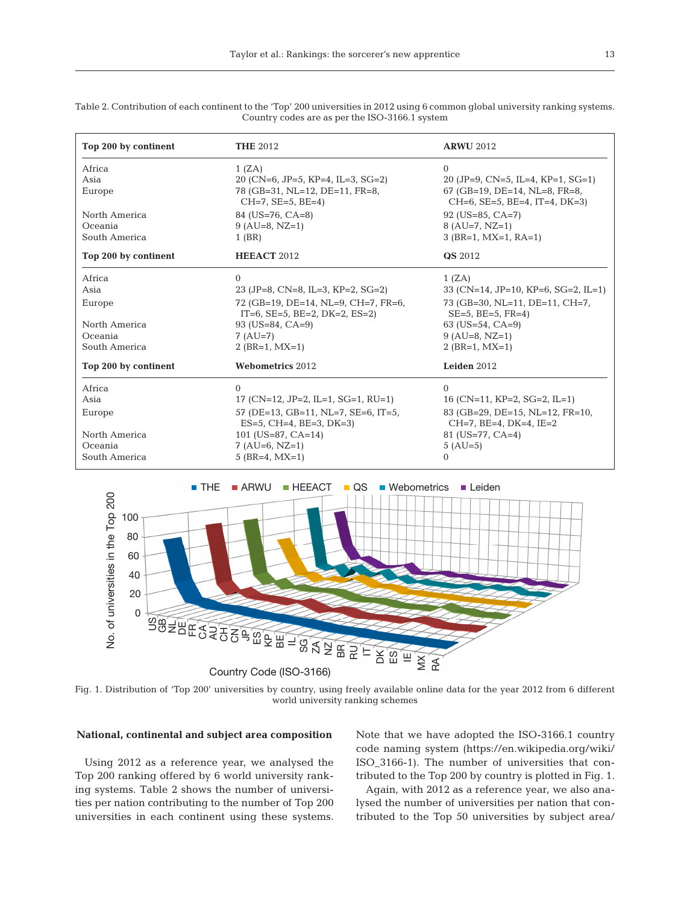| Top 200 by continent | <b>THE 2012</b>                                                                     | <b>ARWU 2012</b>                                                     |  |  |  |  |
|----------------------|-------------------------------------------------------------------------------------|----------------------------------------------------------------------|--|--|--|--|
| Africa<br>Asia       | 1 (ZA)<br>20 (CN=6, JP=5, KP=4, IL=3, SG=2)                                         | $\Omega$<br>20 (JP=9, CN=5, IL=4, KP=1, SG=1)                        |  |  |  |  |
| Europe               | 78 (GB=31, NL=12, DE=11, FR=8,<br>$CH=7$ , $SE=5$ , $BE=4$ )                        | 67 (GB=19, DE=14, NL=8, FR=8,<br>$CH=6$ , SE=5, BE=4, IT=4, DK=3)    |  |  |  |  |
| North America        | 84 (US=76, CA=8)                                                                    | $92$ (US=85, CA=7)                                                   |  |  |  |  |
| Oceania              | $9 (AU=8, NZ=1)$                                                                    | $8 (AU=7, NZ=1)$                                                     |  |  |  |  |
| South America        | $1$ (BR)                                                                            | $3$ (BR=1, MX=1, RA=1)                                               |  |  |  |  |
| Top 200 by continent | <b>HEEACT 2012</b>                                                                  | <b>QS</b> 2012                                                       |  |  |  |  |
| Africa               | $\Omega$                                                                            | 1 (ZA)                                                               |  |  |  |  |
| Asia                 | 23 (JP=8, CN=8, IL=3, KP=2, SG=2)                                                   | 33 (CN=14, JP=10, KP=6, SG=2, IL=1)                                  |  |  |  |  |
| Europe               | 72 (GB=19, DE=14, NL=9, CH=7, FR=6,<br>$IT=6$ , $SE=5$ , $BE=2$ , $DK=2$ , $ES=2$ ) | 73 (GB=30, NL=11, DE=11, CH=7,<br>$SE=5$ , $BE=5$ , $FR=4$ )         |  |  |  |  |
| North America        | $93$ (US=84, CA=9)                                                                  | 63 (US=54, CA=9)                                                     |  |  |  |  |
| Oceania              | $7 (AU=7)$                                                                          | $9 (AU=8, NZ=1)$                                                     |  |  |  |  |
| South America        | $2$ (BR=1, MX=1)                                                                    | $2$ (BR=1, MX=1)                                                     |  |  |  |  |
| Top 200 by continent | Webometrics 2012                                                                    | Leiden 2012                                                          |  |  |  |  |
| Africa               | $\Omega$                                                                            | $\Omega$                                                             |  |  |  |  |
| Asia                 | 17 (CN=12, JP=2, IL=1, SG=1, RU=1)                                                  | 16 (CN=11, KP=2, SG=2, IL=1)                                         |  |  |  |  |
| Europe               | 57 (DE=13, GB=11, NL=7, SE=6, IT=5,<br>$ES=5$ , CH=4, BE=3, DK=3)                   | 83 (GB=29, DE=15, NL=12, FR=10,<br>$CH=7$ , $BE=4$ , $DK=4$ , $IE=2$ |  |  |  |  |
| North America        | 101 (US=87, CA=14)                                                                  | $81$ (US=77, CA=4)                                                   |  |  |  |  |
| Oceania              | $7 (AU=6, NZ=1)$                                                                    | $5 (AU=5)$                                                           |  |  |  |  |
| South America        | 5 ( $BR=4$ , $MX=1$ )                                                               | $\Omega$                                                             |  |  |  |  |

Table 2. Contribution of each continent to the 'Top' 200 universities in 2012 using 6 common global university ranking systems. Country codes are as per the ISO-3166.1 system



Fig. 1. Distribution of 'Top 200' universities by country, using freely available online data for the year 2012 from 6 different world university ranking schemes

## **National, continental and subject area composition**

Using 2012 as a reference year, we analysed the Top 200 ranking offered by 6 world university ranking systems. Table 2 shows the number of universities per nation contributing to the number of Top 200 universities in each continent using these systems. Note that we have adopted the ISO-3166.1 country code naming system (https://en.wikipedia.org/wiki/ ISO\_3166-1). The number of universities that contributed to the Top 200 by country is plotted in Fig. 1.

Again, with 2012 as a reference year, we also analysed the number of universities per nation that contributed to the Top 50 universities by subject area/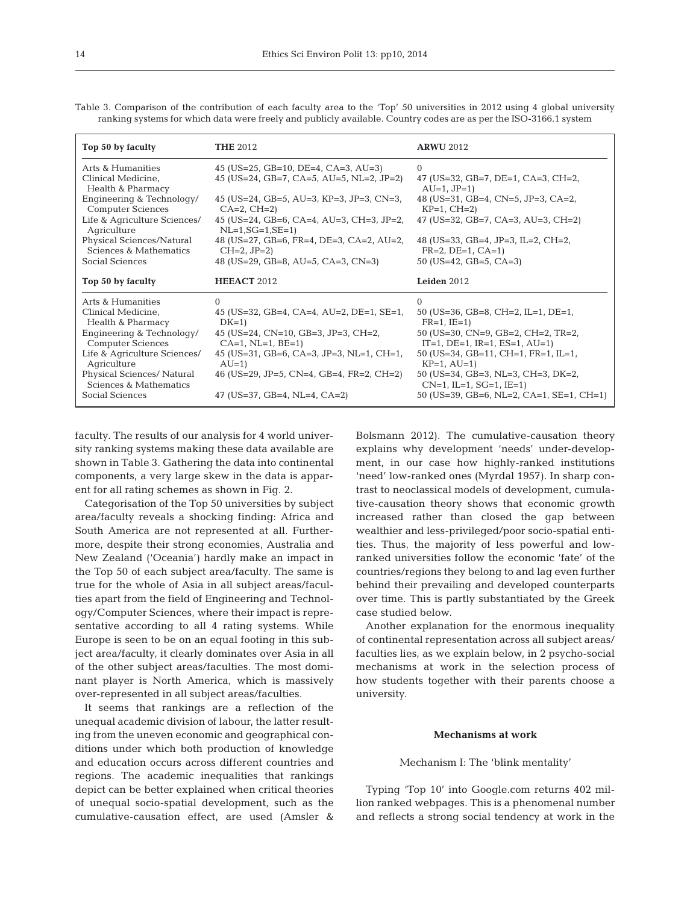| Top 50 by faculty                                            | <b>THE 2012</b>                                                                 | <b>ARWU 2012</b>                                                                   |  |  |  |  |
|--------------------------------------------------------------|---------------------------------------------------------------------------------|------------------------------------------------------------------------------------|--|--|--|--|
| Arts & Humanities<br>Clinical Medicine,<br>Health & Pharmacy | 45 (US=25, GB=10, DE=4, CA=3, AU=3)<br>45 (US=24, GB=7, CA=5, AU=5, NL=2, JP=2) | $\Omega$<br>47 (US=32, GB=7, DE=1, CA=3, CH=2,<br>$AU=1$ , $JP=1$ )                |  |  |  |  |
| Engineering & Technology/<br><b>Computer Sciences</b>        | 45 (US=24, GB=5, AU=3, KP=3, JP=3, CN=3,<br>$CA=2$ , $CH=2$ )                   | 48 (US=31, GB=4, CN=5, JP=3, CA=2,<br>$KP=1$ , $CH=2$ )                            |  |  |  |  |
| Life & Agriculture Sciences/<br>Agriculture                  | 45 (US=24, GB=6, CA=4, AU=3, CH=3, JP=2,<br>$NL=1, SG=1, SE=1)$                 | 47 (US=32, GB=7, CA=3, AU=3, CH=2)                                                 |  |  |  |  |
| Physical Sciences/Natural<br>Sciences & Mathematics          | 48 (US=27, GB=6, FR=4, DE=3, CA=2, AU=2,<br>$CH=2, JP=2)$                       | 48 (US=33, GB=4, JP=3, IL=2, CH=2,<br>$FR=2$ , $DE=1$ , $CA=1$ )                   |  |  |  |  |
| Social Sciences                                              | 48 (US=29, GB=8, AU=5, CA=3, CN=3)                                              | 50 (US=42, GB=5, CA=3)                                                             |  |  |  |  |
|                                                              |                                                                                 |                                                                                    |  |  |  |  |
| Top 50 by faculty                                            | HEEACT 2012                                                                     | Leiden 2012                                                                        |  |  |  |  |
| Arts & Humanities                                            | $\Omega$                                                                        | $\Omega$                                                                           |  |  |  |  |
| Clinical Medicine,<br>Health & Pharmacy                      | 45 (US=32, GB=4, CA=4, AU=2, DE=1, SE=1,<br>$DK=1$                              | 50 (US=36, GB=8, CH=2, IL=1, DE=1,<br>$FR=1$ , $IE=1$ )                            |  |  |  |  |
| Engineering & Technology/<br><b>Computer Sciences</b>        | 45 (US=24, CN=10, GB=3, JP=3, CH=2,<br>$CA=1$ , $NL=1$ , $BE=1$ )               | 50 (US=30, CN=9, GB=2, CH=2, TR=2,<br>$IT=1$ , $DE=1$ , $IR=1$ , $ES=1$ , $AU=1$ ) |  |  |  |  |
| Life & Agriculture Sciences/<br>Agriculture                  | 45 (US=31, GB=6, CA=3, JP=3, NL=1, CH=1,<br>$AU=1$                              | 50 (US=34, GB=11, CH=1, FR=1, IL=1,<br>$KP=1, AU=1)$                               |  |  |  |  |
| Physical Sciences/ Natural<br>Sciences & Mathematics         | 46 (US=29, JP=5, CN=4, GB=4, FR=2, CH=2)                                        | 50 (US=34, GB=3, NL=3, CH=3, DK=2,<br>$CN=1$ , IL=1, $SG=1$ , IE=1)                |  |  |  |  |

Table 3. Comparison of the contribution of each faculty area to the 'Top' 50 universities in 2012 using 4 global university ranking systems for which data were freely and publicly available. Country codes are as per the ISO-3166.1 system

faculty. The results of our analysis for 4 world university ranking systems making these data available are shown in Table 3. Gathering the data into continental components, a very large skew in the data is apparent for all rating schemes as shown in Fig. 2.

Categorisation of the Top 50 universities by subject area/faculty reveals a shocking finding: Africa and South America are not represented at all. Furthermore, despite their strong economies, Australia and New Zealand ('Oceania') hardly make an impact in the Top 50 of each subject area/faculty. The same is true for the whole of Asia in all subject areas/faculties apart from the field of Engineering and Technology/Computer Sciences, where their impact is representative according to all 4 rating systems. While Europe is seen to be on an equal footing in this subject area/faculty, it clearly dominates over Asia in all of the other subject areas/faculties. The most dominant player is North America, which is massively over-represented in all subject areas/faculties.

It seems that rankings are a reflection of the unequal academic division of labour, the latter resulting from the uneven economic and geographical conditions under which both production of knowledge and education occurs across different countries and regions. The academic inequalities that rankings depict can be better explained when critical theories of unequal socio-spatial development, such as the cumulative-causation effect, are used (Amsler &

Bolsmann 2012). The cumulative-causation theory explains why development 'needs' under-development, in our case how highly-ranked institutions 'need' low-ranked ones (Myrdal 1957). In sharp contrast to neoclassical models of development, cumulative-causation theory shows that economic growth increased rather than closed the gap between wealthier and less-privileged/poor socio-spatial entities. Thus, the majority of less powerful and lowranked universities follow the economic 'fate' of the countries/regions they belong to and lag even further behind their prevailing and developed counterparts over time. This is partly substantiated by the Greek case studied below.

Another explanation for the enormous inequality of continental representation across all subject areas/ faculties lies, as we explain below, in 2 psycho-social mechanisms at work in the selection process of how students together with their parents choose a university.

## **Mechanisms at work**

#### Mechanism I: The 'blink mentality'

Typing 'Top 10' into Google.com returns 402 million ranked webpages. This is a phenomenal number and reflects a strong social tendency at work in the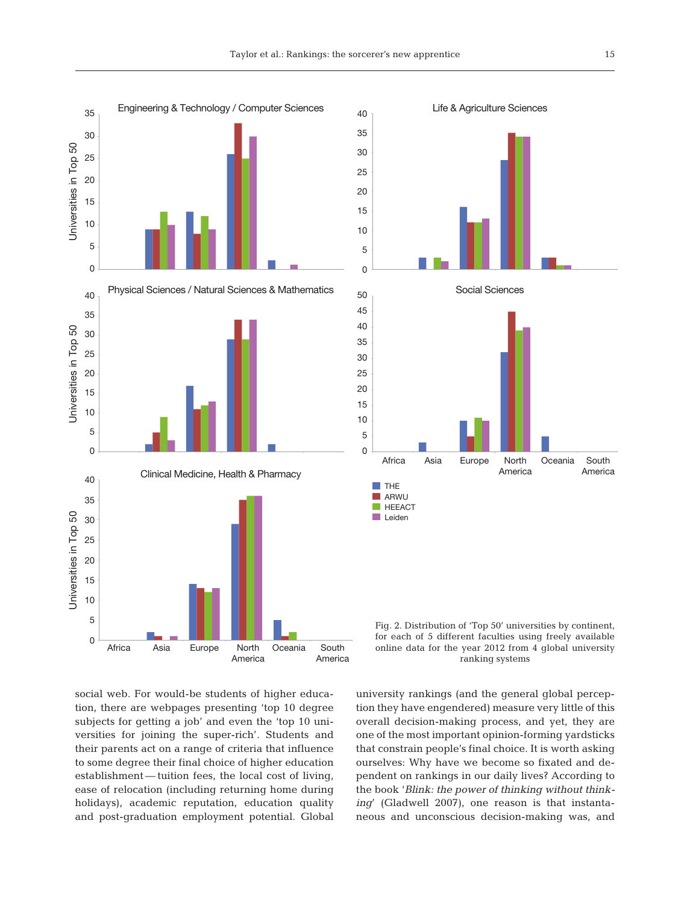

social web. For would-be students of higher education, there are webpages presenting 'top 10 degree subjects for getting a job' and even the 'top 10 universities for joining the super-rich'. Students and their parents act on a range of criteria that influence to some degree their final choice of higher education establishment — tuition fees, the local cost of living, ease of relocation (including returning home during holidays), academic reputation, education quality and post-graduation employment potential. Global university rankings (and the general global perception they have engendered) measure very little of this overall decision-making process, and yet, they are one of the most important opinion-forming yardsticks that constrain people's final choice. It is worth asking ourselves: Why have we become so fixated and dependent on rankings in our daily lives? According to the book '*Blink: the power of thinking without thinking*' (Gladwell 2007), one reason is that instantaneous and unconscious decision-making was, and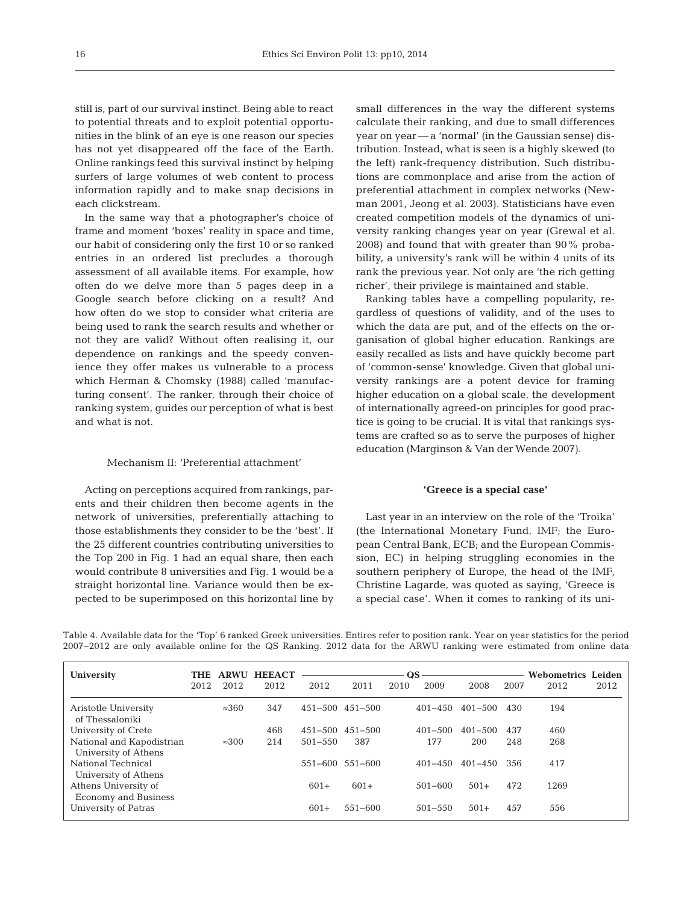still is, part of our survival instinct. Being able to react to potential threats and to exploit potential opportunities in the blink of an eye is one reason our species has not yet disappeared off the face of the Earth. Online rankings feed this survival instinct by helping surfers of large volumes of web content to process information rapidly and to make snap decisions in each clickstream.

In the same way that a photographer's choice of frame and moment 'boxes' reality in space and time, our habit of considering only the first 10 or so ranked entries in an ordered list precludes a thorough assessment of all available items. For example, how often do we delve more than 5 pages deep in a Google search before clicking on a result? And how often do we stop to consider what criteria are being used to rank the search results and whether or not they are valid? Without often realising it, our dependence on rankings and the speedy convenience they offer makes us vulnerable to a process which Herman & Chomsky (1988) called 'manufacturing consent'. The ranker, through their choice of ranking system, guides our perception of what is best and what is not.

## Mechanism II: 'Preferential attachment'

Acting on perceptions acquired from rankings, parents and their children then become agents in the network of universities, preferentially attaching to those establishments they consider to be the 'best'. If the 25 different countries contributing universities to the Top 200 in Fig. 1 had an equal share, then each would contribute 8 universities and Fig. 1 would be a straight horizontal line. Variance would then be expected to be superimposed on this horizontal line by

small differences in the way the different systems calculate their ranking, and due to small differences year on year — a 'normal' (in the Gaussian sense) distribution. Instead, what is seen is a highly skewed (to the left) rank-frequency distribution. Such distributions are commonplace and arise from the action of preferential attachment in complex networks (Newman 2001, Jeong et al. 2003). Statisticians have even created competition models of the dynamics of university ranking changes year on year (Grewal et al. 2008) and found that with greater than 90% probability, a university's rank will be within 4 units of its rank the previous year. Not only are 'the rich getting richer', their privilege is maintained and stable.

Ranking tables have a compelling popularity, re gardless of questions of validity, and of the uses to which the data are put, and of the effects on the organisation of global higher education. Rankings are easily recalled as lists and have quickly become part of 'common-sense' knowledge. Given that global university rankings are a potent device for framing higher education on a global scale, the development of internationally agreed-on principles for good practice is going to be crucial. It is vital that rankings systems are crafted so as to serve the purposes of higher education (Marginson & Van der Wende 2007).

## **'Greece is a special case'**

Last year in an interview on the role of the 'Troika' (the International Monetary Fund, IMF; the European Central Bank, ECB; and the European Commission, EC) in helping struggling economies in the southern periphery of Europe, the head of the IMF, Christine Lagarde, was quoted as saying, 'Greece is a special case'. When it comes to ranking of its uni-

| University                                          | <b>THE</b> |               | <b>ARWU HEEACT</b> |             |                         |      | QS          |             |      | <b>Webometrics Leiden</b> |      |
|-----------------------------------------------------|------------|---------------|--------------------|-------------|-------------------------|------|-------------|-------------|------|---------------------------|------|
|                                                     | 2012       | 2012          | 2012               | 2012        | 2011                    | 2010 | 2009        | 2008        | 2007 | 2012                      | 2012 |
| Aristotle University<br>of Thessaloniki             |            | $\approx 360$ | 347                |             | 451-500 451-500         |      | $401 - 450$ | $401 - 500$ | 430  | 194                       |      |
| University of Crete                                 |            |               | 468                | $451 - 500$ | 451-500                 |      | $401 - 500$ | $401 - 500$ | 437  | 460                       |      |
| National and Kapodistrian<br>University of Athens   |            | $\approx 300$ | 214                | $501 - 550$ | 387                     |      | 177         | 200         | 248  | 268                       |      |
| National Technical<br>University of Athens          |            |               |                    |             | $551 - 600$ $551 - 600$ |      | $401 - 450$ | $401 - 450$ | 356  | 417                       |      |
| Athens University of<br><b>Economy and Business</b> |            |               |                    | $601+$      | $601+$                  |      | $501 - 600$ | $501+$      | 472  | 1269                      |      |
| University of Patras                                |            |               |                    | $601+$      | $551 - 600$             |      | $501 - 550$ | $501+$      | 457  | 556                       |      |

Table 4. Available data for the 'Top' 6 ranked Greek universities. Entires refer to position rank. Year on year statistics for the period 2007−2012 are only available online for the QS Ranking. 2012 data for the ARWU ranking were estimated from online data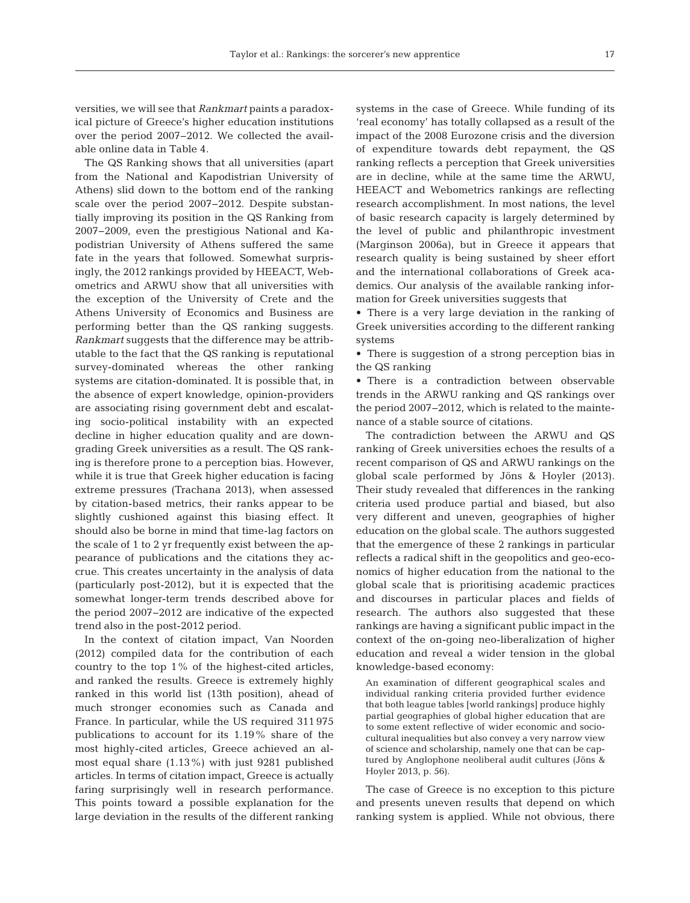versities, we will see that *Rankmart* paints a paradoxical picture of Greece's higher education institutions over the period 2007−2012. We collected the available online data in Table 4.

The QS Ranking shows that all universities (apart from the National and Kapodistrian University of Athens) slid down to the bottom end of the ranking scale over the period 2007−2012. Despite substantially improving its position in the QS Ranking from 2007−2009, even the prestigious National and Ka podistrian University of Athens suffered the same fate in the years that followed. Somewhat surprisingly, the 2012 rankings provided by HEEACT, Webometrics and ARWU show that all universities with the exception of the University of Crete and the Athens University of Economics and Business are performing better than the QS ranking suggests. *Rankmart* suggests that the difference may be attributable to the fact that the QS ranking is reputational survey-dominated whereas the other ranking systems are citation-dominated. It is possible that, in the absence of expert knowledge, opinion-providers are associating rising government debt and escalating socio-political instability with an expected decline in higher education quality and are downgrading Greek universities as a result. The QS ranking is therefore prone to a perception bias. However, while it is true that Greek higher education is facing extreme pressures (Trachana 2013), when assessed by citation-based metrics, their ranks appear to be slightly cushioned against this biasing effect. It should also be borne in mind that time-lag factors on the scale of 1 to 2 yr frequently exist between the appearance of publications and the citations they accrue. This creates uncertainty in the analysis of data (particularly post-2012), but it is expected that the somewhat longer-term trends described above for the period 2007–2012 are indicative of the expected trend also in the post-2012 period.

In the context of citation impact, Van Noorden (2012) compiled data for the contribution of each country to the top 1% of the highest-cited articles, and ranked the results. Greece is extremely highly ranked in this world list (13th position), ahead of much stronger economies such as Canada and France. In particular, while the US required 311 975 publications to account for its 1.19% share of the most highly-cited articles, Greece achieved an almost equal share (1.13%) with just 9281 published articles. In terms of citation impact, Greece is actually faring surprisingly well in research performance. This points toward a possible explanation for the large deviation in the results of the different ranking

systems in the case of Greece. While funding of its 'real economy' has totally collapsed as a result of the impact of the 2008 Eurozone crisis and the diversion of expenditure towards debt repayment, the QS ranking reflects a perception that Greek universities are in decline, while at the same time the ARWU, HEEACT and Webometrics rankings are reflecting research accomplishment. In most nations, the level of basic research capacity is largely determined by the level of public and philanthropic investment (Marginson 2006a), but in Greece it appears that research quality is being sustained by sheer effort and the international collaborations of Greek academics. Our analysis of the available ranking information for Greek universities suggests that

• There is a very large deviation in the ranking of Greek universities according to the different ranking systems

• There is suggestion of a strong perception bias in the QS ranking

• There is a contradiction between observable trends in the ARWU ranking and QS rankings over the period 2007−2012, which is related to the maintenance of a stable source of citations.

The contradiction between the ARWU and QS ranking of Greek universities echoes the results of a recent comparison of QS and ARWU rankings on the global scale performed by Jöns & Hoyler (2013). Their study revealed that differences in the ranking criteria used produce partial and biased, but also very different and uneven, geographies of higher education on the global scale. The authors suggested that the emergence of these 2 rankings in particular reflects a radical shift in the geopolitics and geo-economics of higher education from the national to the global scale that is prioritising academic practices and discourses in particular places and fields of research. The authors also suggested that these rankings are having a significant public impact in the context of the on-going neo-liberalization of higher education and reveal a wider tension in the global knowledge-based economy:

An examination of different geographical scales and individual ranking criteria provided further evidence that both league tables [world rankings] produce highly partial geographies of global higher education that are to some extent reflective of wider economic and sociocultural inequalities but also convey a very narrow view of science and scholarship, namely one that can be captured by Anglophone neoliberal audit cultures (Jöns & Hoyler 2013, p. 56).

The case of Greece is no exception to this picture and presents uneven results that depend on which ranking system is applied. While not obvious, there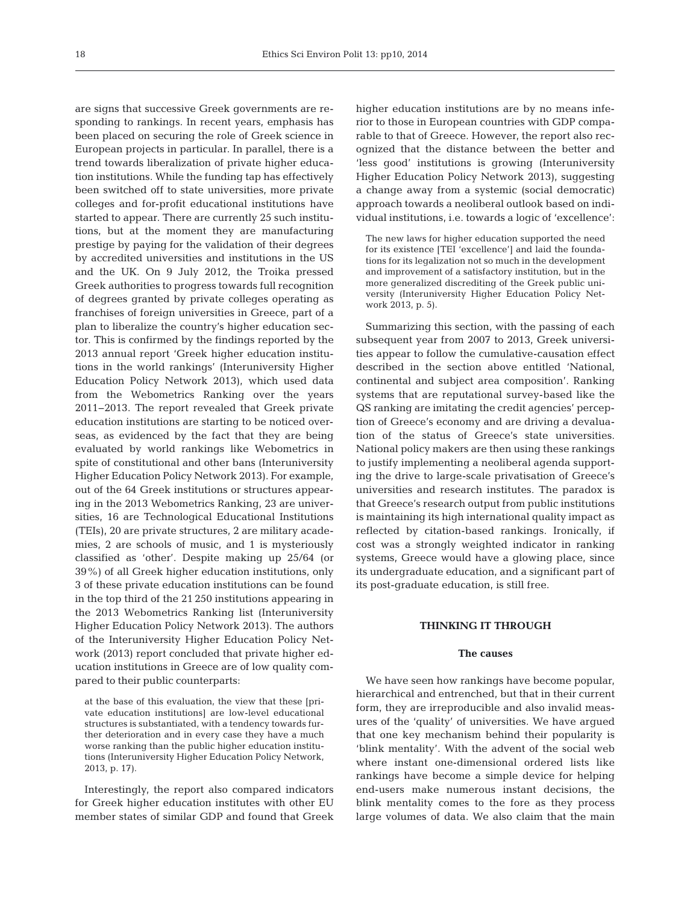are signs that successive Greek governments are responding to rankings. In recent years, emphasis has been placed on securing the role of Greek science in European projects in particular. In parallel, there is a trend towards liberalization of private higher education institutions. While the funding tap has effectively been switched off to state universities, more private colleges and for-profit educational institutions have started to appear. There are currently 25 such institutions, but at the moment they are manufacturing prestige by paying for the validation of their degrees by accredited universities and institutions in the US and the UK. On 9 July 2012, the Troika pressed Greek authorities to progress towards full recognition of degrees granted by private colleges operating as franchises of foreign universities in Greece, part of a plan to liberalize the country's higher education sector. This is confirmed by the findings reported by the 2013 annual report 'Greek higher education institutions in the world rankings' (Interuniversity Higher Education Policy Network 2013), which used data from the Webometrics Ranking over the years 2011−2013. The report revealed that Greek private education institutions are starting to be noticed overseas, as evidenced by the fact that they are being evaluated by world rankings like Webometrics in spite of constitutional and other bans (Interuniversity Higher Education Policy Network 2013). For example, out of the 64 Greek institutions or structures appearing in the 2013 Webometrics Ranking, 23 are universities, 16 are Technological Educational Institutions (TEIs), 20 are private structures, 2 are military academies, 2 are schools of music, and 1 is mysteriously classified as 'other'. Despite making up 25/64 (or 39%) of all Greek higher education institutions, only 3 of these private education institutions can be found in the top third of the 21 250 institutions appearing in the 2013 Webometrics Ranking list (Interuniversity Higher Education Policy Network 2013). The authors of the Interuniversity Higher Education Policy Network (2013) report concluded that private higher education institutions in Greece are of low quality compared to their public counterparts:

at the base of this evaluation, the view that these [private education institutions] are low-level educational structures is substantiated, with a tendency towards further deterioration and in every case they have a much worse ranking than the public higher education institutions (Interuniversity Higher Education Policy Network, 2013, p. 17).

Interestingly, the report also compared indicators for Greek higher education institutes with other EU member states of similar GDP and found that Greek higher education institutions are by no means inferior to those in European countries with GDP comparable to that of Greece. However, the report also recognized that the distance between the better and 'less good' institutions is growing (Interuniversity Higher Education Policy Network 2013), suggesting a change away from a systemic (social democratic) approach towards a neoliberal outlook based on individual institutions, i.e. towards a logic of 'excellence':

The new laws for higher education supported the need for its existence [TEI 'excellence'] and laid the foundations for its legalization not so much in the development and improvement of a satisfactory institution, but in the more generalized discrediting of the Greek public university (Interuniversity Higher Education Policy Network 2013, p. 5).

Summarizing this section, with the passing of each subsequent year from 2007 to 2013, Greek universities appear to follow the cumulative-causation effect described in the section above entitled 'National, continental and subject area composition'. Ranking systems that are reputational survey-based like the QS ranking are imitating the credit agencies' perception of Greece's economy and are driving a devaluation of the status of Greece's state universities. National policy makers are then using these rankings to justify implementing a neoliberal agenda supporting the drive to large-scale privatisation of Greece's universities and research institutes. The paradox is that Greece's research output from public institutions is maintaining its high international quality impact as reflected by citation-based rankings. Ironically, if cost was a strongly weighted indicator in ranking systems, Greece would have a glowing place, since its undergraduate education, and a significant part of its post-graduate education, is still free.

## **THINKING IT THROUGH**

#### **The causes**

We have seen how rankings have become popular, hierarchical and entrenched, but that in their current form, they are irreproducible and also invalid measures of the 'quality' of universities. We have argued that one key mechanism behind their popularity is 'blink mentality'. With the advent of the social web where instant one-dimensional ordered lists like rankings have become a simple device for helping end-users make numerous instant decisions, the blink mentality comes to the fore as they process large volumes of data. We also claim that the main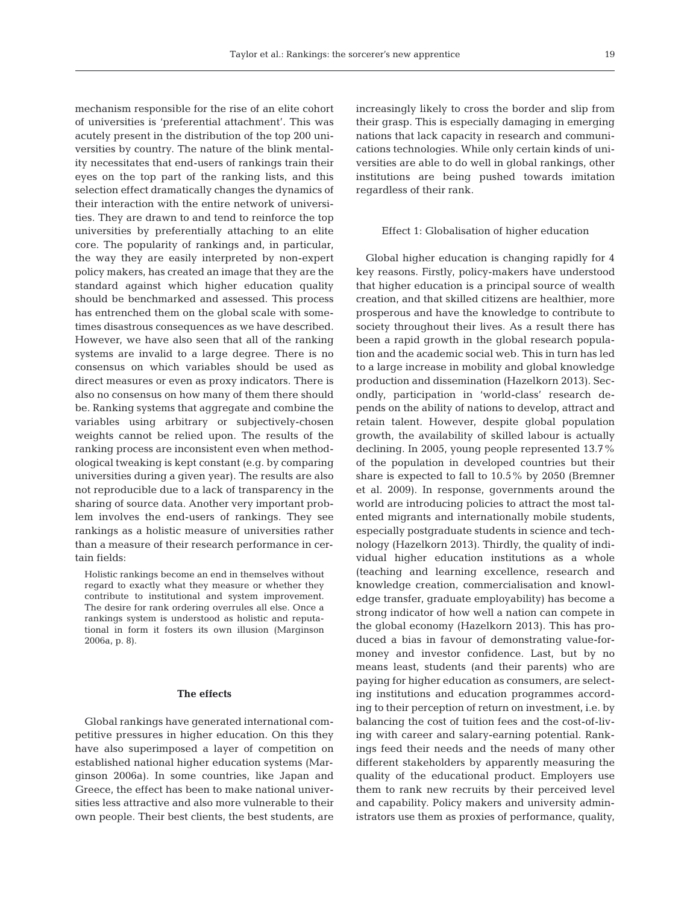mechanism responsible for the rise of an elite cohort of universities is 'preferential attachment'. This was acutely present in the distribution of the top 200 universities by country. The nature of the blink mentality necessitates that end-users of rankings train their eyes on the top part of the ranking lists, and this selection effect dramatically changes the dynamics of their interaction with the entire network of universities. They are drawn to and tend to reinforce the top universities by preferentially attaching to an elite core. The popularity of rankings and, in particular, the way they are easily interpreted by non-expert policy makers, has created an image that they are the standard against which higher education quality should be benchmarked and assessed. This process has entrenched them on the global scale with sometimes disastrous consequences as we have described. However, we have also seen that all of the ranking systems are invalid to a large degree. There is no consensus on which variables should be used as direct measures or even as proxy indicators. There is also no consensus on how many of them there should be. Ranking systems that aggregate and combine the variables using arbitrary or subjectively-chosen weights cannot be relied upon. The results of the ranking process are inconsistent even when methodological tweaking is kept constant (e.g. by comparing universities during a given year). The results are also not reproducible due to a lack of transparency in the sharing of source data. Another very important problem involves the end-users of rankings. They see rankings as a holistic measure of universities rather than a measure of their research performance in certain fields:

Holistic rankings become an end in themselves without regard to exactly what they measure or whether they contribute to institutional and system improvement. The desire for rank ordering overrules all else. Once a rankings system is understood as holistic and reputational in form it fosters its own illusion (Marginson 2006a, p. 8).

## **The effects**

Global rankings have generated international competitive pressures in higher education. On this they have also superimposed a layer of competition on established national higher education systems (Marginson 2006a). In some countries, like Japan and Greece, the effect has been to make national universities less attractive and also more vulnerable to their own people. Their best clients, the best students, are increasingly likely to cross the border and slip from their grasp. This is especially damaging in emerging nations that lack capacity in research and communications technologies. While only certain kinds of universities are able to do well in global rankings, other institutions are being pushed towards imitation regardless of their rank.

#### Effect 1: Globalisation of higher education

Global higher education is changing rapidly for 4 key reasons. Firstly, policy-makers have understood that higher education is a principal source of wealth creation, and that skilled citizens are healthier, more prosperous and have the knowledge to contribute to society throughout their lives. As a result there has been a rapid growth in the global research population and the academic social web. This in turn has led to a large increase in mobility and global knowledge production and dissemination (Hazelkorn 2013). Secondly, participation in 'world-class' research de pends on the ability of nations to develop, attract and retain talent. However, despite global population growth, the availability of skilled labour is actually declining. In 2005, young people represented 13.7% of the population in developed countries but their share is expected to fall to 10.5% by 2050 (Bremner et al. 2009). In response, governments around the world are introducing policies to attract the most talented migrants and internationally mobile students, especially postgraduate students in science and technology (Hazelkorn 2013). Thirdly, the quality of individual higher education institutions as a whole (teaching and learning excellence, research and knowledge creation, commercialisation and knowledge transfer, graduate employability) has become a strong indicator of how well a nation can compete in the global economy (Hazelkorn 2013). This has produced a bias in favour of demonstrating value-formoney and investor confidence. Last, but by no means least, students (and their parents) who are paying for higher education as consumers, are selecting institutions and education programmes according to their perception of return on investment, i.e. by balancing the cost of tuition fees and the cost-of-living with career and salary-earning potential. Rankings feed their needs and the needs of many other different stakeholders by apparently measuring the quality of the educational product. Employers use them to rank new recruits by their perceived level and capability. Policy makers and university administrators use them as proxies of performance, quality,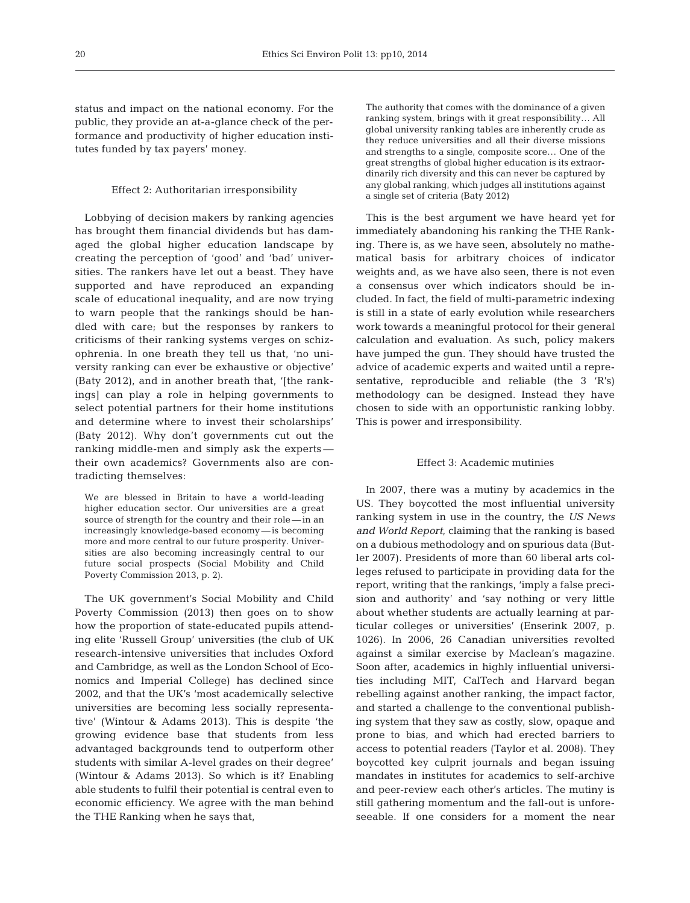status and impact on the national economy. For the public, they provide an at-a-glance check of the performance and productivity of higher education institutes funded by tax payers' money.

#### Effect 2: Authoritarian irresponsibility

Lobbying of decision makers by ranking agencies has brought them financial dividends but has damaged the global higher education landscape by creating the perception of 'good' and 'bad' universities. The rankers have let out a beast. They have supported and have reproduced an expanding scale of educational inequality, and are now trying to warn people that the rankings should be handled with care; but the responses by rankers to criticisms of their ranking systems verges on schizophrenia. In one breath they tell us that, 'no university ranking can ever be exhaustive or objective' (Baty 2012), and in another breath that, '[the rankings] can play a role in helping governments to select potential partners for their home institutions and determine where to invest their scholarships' (Baty 2012). Why don't governments cut out the ranking middle-men and simply ask the experts their own academics? Governments also are contradicting themselves:

We are blessed in Britain to have a world-leading higher education sector. Our universities are a great source of strength for the country and their role— in an increasingly knowledge-based economy— is becoming more and more central to our future prosperity. Universities are also becoming increasingly central to our future social prospects (Social Mobility and Child Poverty Commission 2013, p. 2).

The UK government's Social Mobility and Child Poverty Commission (2013) then goes on to show how the proportion of state-educated pupils attending elite 'Russell Group' universities (the club of UK research-intensive universities that includes Oxford and Cambridge, as well as the London School of Economics and Imperial College) has declined since 2002, and that the UK's 'most academically selective universities are becoming less socially representative' (Wintour & Adams 2013). This is despite 'the growing evidence base that students from less advantaged backgrounds tend to outperform other students with similar A-level grades on their degree' (Wintour & Adams 2013). So which is it? Enabling able students to fulfil their potential is central even to economic efficiency. We agree with the man behind the THE Ranking when he says that,

The authority that comes with the dominance of a given ranking system, brings with it great responsibility… All global university ranking tables are inherently crude as they reduce universities and all their diverse missions and strengths to a single, composite score… One of the great strengths of global higher education is its extraordinarily rich diversity and this can never be captured by any global ranking, which judges all institutions against a single set of criteria (Baty 2012)

This is the best argument we have heard yet for immediately abandoning his ranking the THE Ranking. There is, as we have seen, absolutely no mathematical basis for arbitrary choices of indicator weights and, as we have also seen, there is not even a consensus over which indicators should be included. In fact, the field of multi-parametric indexing is still in a state of early evolution while researchers work towards a meaningful protocol for their general calculation and evaluation. As such, policy makers have jumped the gun. They should have trusted the advice of academic experts and waited until a representative, reproducible and reliable (the 3 'R's) methodology can be designed. Instead they have chosen to side with an opportunistic ranking lobby. This is power and irresponsibility.

## Effect 3: Academic mutinies

In 2007, there was a mutiny by academics in the US. They boycotted the most influential university ranking system in use in the country, the *US News and World Report*, claiming that the ranking is based on a dubious methodology and on spurious data (Butler 2007). Presidents of more than 60 liberal arts colleges refused to participate in providing data for the report, writing that the rankings, 'imply a false precision and authority' and 'say nothing or very little about whether students are actually learning at particular colleges or universities' (Enserink 2007, p. 1026). In 2006, 26 Canadian universities revolted against a similar exercise by Maclean's magazine. Soon after, academics in highly influential universities including MIT, CalTech and Harvard began rebelling against another ranking, the impact factor, and started a challenge to the conventional publishing system that they saw as costly, slow, opaque and prone to bias, and which had erected barriers to access to potential readers (Taylor et al. 2008). They boycotted key culprit journals and began issuing mandates in institutes for academics to self-archive and peer-review each other's articles. The mutiny is still gathering momentum and the fall-out is unforeseeable. If one considers for a moment the near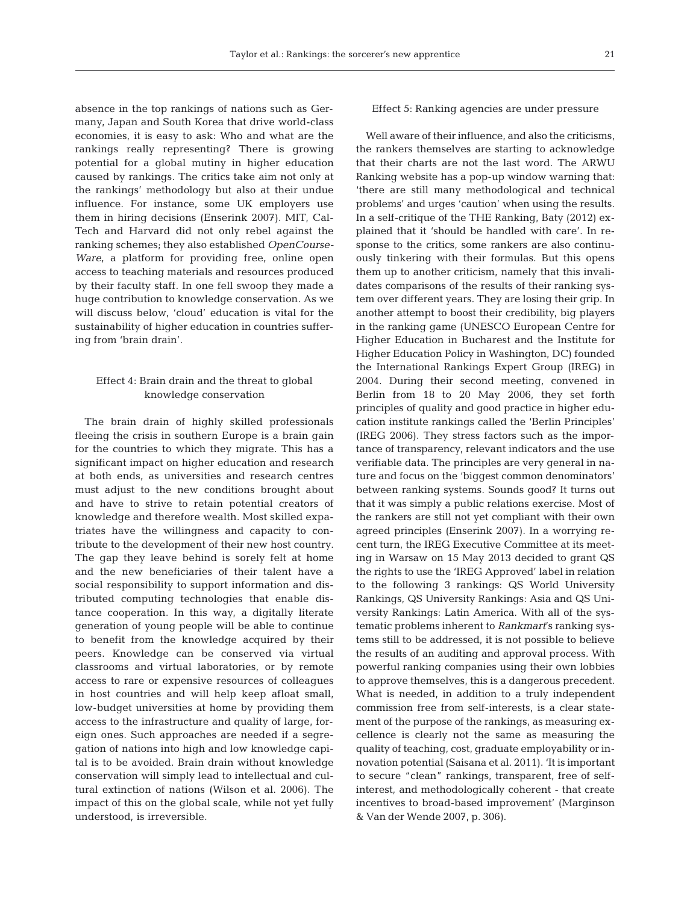absence in the top rankings of nations such as Germany, Japan and South Korea that drive world-class economies, it is easy to ask: Who and what are the rankings really representing? There is growing potential for a global mutiny in higher education caused by rankings. The critics take aim not only at the rankings' methodology but also at their undue influence. For instance, some UK employers use them in hiring decisions (Enserink 2007). MIT, Cal-Tech and Harvard did not only rebel against the ranking schemes; they also established *OpenCourse-Ware*, a platform for providing free, online open access to teaching materials and resources produced by their faculty staff. In one fell swoop they made a huge contribution to knowledge conservation. As we will discuss below, 'cloud' education is vital for the sustainability of higher education in countries suffering from 'brain drain'.

# Effect 4: Brain drain and the threat to global knowledge conservation

The brain drain of highly skilled professionals fleeing the crisis in southern Europe is a brain gain for the countries to which they migrate. This has a significant impact on higher education and research at both ends, as universities and research centres must adjust to the new conditions brought about and have to strive to retain potential creators of knowledge and therefore wealth. Most skilled expatriates have the willingness and capacity to contribute to the development of their new host country. The gap they leave behind is sorely felt at home and the new beneficiaries of their talent have a social responsibility to support information and distributed computing technologies that enable distance cooperation. In this way, a digitally literate generation of young people will be able to continue to benefit from the knowledge acquired by their peers. Knowledge can be conserved via virtual classrooms and virtual laboratories, or by remote access to rare or expensive resources of colleagues in host countries and will help keep afloat small, low-budget universities at home by providing them access to the infrastructure and quality of large, foreign ones. Such approaches are needed if a segregation of nations into high and low knowledge capital is to be avoided. Brain drain without knowledge conservation will simply lead to intellectual and cultural extinction of nations (Wilson et al. 2006). The impact of this on the global scale, while not yet fully understood, is irreversible.

## Effect 5: Ranking agencies are under pressure

Well aware of their influence, and also the criticisms, the rankers themselves are starting to acknowledge that their charts are not the last word. The ARWU Ranking website has a pop-up window warning that: 'there are still many methodological and technical problems' and urges 'caution' when using the results. In a self-critique of the THE Ranking, Baty (2012) explained that it 'should be handled with care'. In response to the critics, some rankers are also continuously tinkering with their formulas. But this opens them up to another criticism, namely that this invalidates comparisons of the results of their ranking system over different years. They are losing their grip. In another attempt to boost their credibility, big players in the ranking game (UNESCO European Centre for Higher Education in Bucharest and the Institute for Higher Education Policy in Washington, DC) founded the International Rankings Expert Group (IREG) in 2004. During their second meeting, convened in Berlin from 18 to 20 May 2006, they set forth principles of quality and good practice in higher education institute rankings called the 'Berlin Principles' (IREG 2006). They stress factors such as the importance of transparency, relevant indicators and the use verifiable data. The principles are very general in nature and focus on the 'biggest common denominators' be tween ranking systems. Sounds good? It turns out that it was simply a public relations exercise. Most of the rankers are still not yet compliant with their own agreed principles (Enserink 2007). In a worrying recent turn, the IREG Executive Committee at its meeting in Warsaw on 15 May 2013 decided to grant QS the rights to use the 'IREG Approved' label in relation to the following 3 rankings: QS World University Rankings, QS University Rankings: Asia and QS University Rankings: Latin America. With all of the systematic problems inherent to *Rankmart*'s ranking systems still to be addressed, it is not possible to believe the results of an auditing and approval process. With powerful ranking companies using their own lobbies to approve themselves, this is a dangerous precedent. What is needed, in addition to a truly independent commission free from self-interests, is a clear statement of the purpose of the rankings, as measuring excellence is clearly not the same as measuring the quality of teaching, cost, graduate employability or innovation potential (Saisana et al. 2011). 'It is important to secure "clean" rankings, transparent, free of selfinterest, and methodologically coherent - that create incentives to broad-based improvement' (Marginson & Van der Wende 2007, p. 306).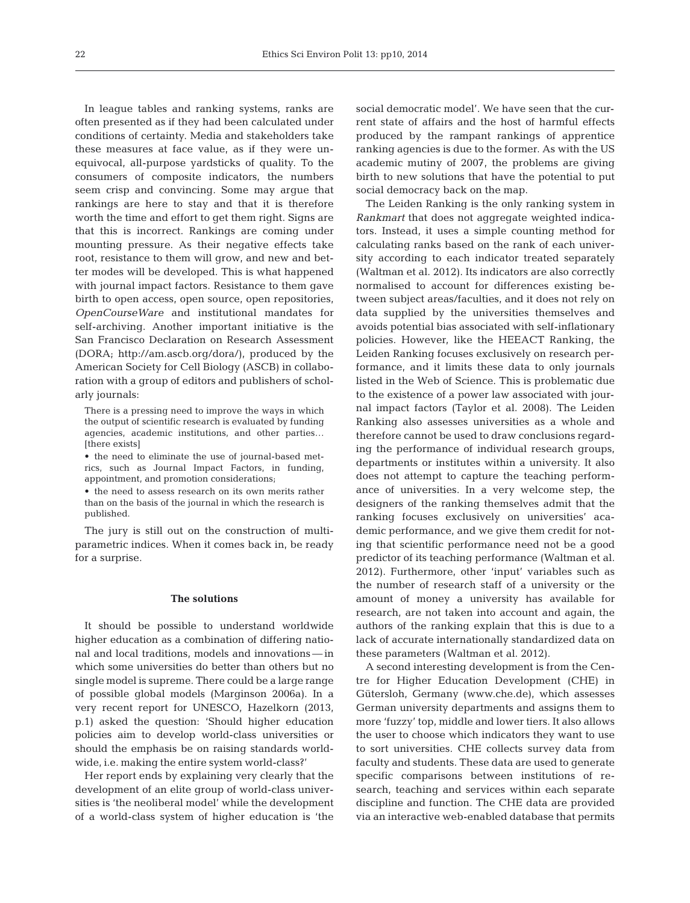In league tables and ranking systems, ranks are often presented as if they had been calculated under conditions of certainty. Media and stakeholders take these measures at face value, as if they were unequivocal, all-purpose yardsticks of quality. To the consumers of composite indicators, the numbers seem crisp and convincing. Some may argue that rankings are here to stay and that it is therefore worth the time and effort to get them right. Signs are that this is incorrect. Rankings are coming under mounting pressure. As their negative effects take root, resistance to them will grow, and new and better modes will be developed. This is what happened with journal impact factors. Resistance to them gave birth to open access, open source, open repositories, *OpenCourseWare* and institutional mandates for self-archiving. Another important initiative is the San Francisco Declaration on Research Assessment (DORA; http:// am. ascb. org/ dora/), produced by the American Society for Cell Biology (ASCB) in collaboration with a group of editors and publishers of scholarly journals:

There is a pressing need to improve the ways in which the output of scientific research is evaluated by funding agencies, academic institutions, and other parties… [there exists]

• the need to eliminate the use of journal-based metrics, such as Journal Impact Factors, in funding, appointment, and promotion considerations;

• the need to assess research on its own merits rather than on the basis of the journal in which the research is published.

The jury is still out on the construction of multiparametric indices. When it comes back in, be ready for a surprise.

## **The solutions**

It should be possible to understand worldwide higher education as a combination of differing national and local traditions, models and innovations — in which some universities do better than others but no single model is supreme. There could be a large range of possible global models (Marginson 2006a). In a very recent report for UNESCO, Hazelkorn (2013, p.1) asked the question: 'Should higher education policies aim to develop world-class universities or should the emphasis be on raising standards worldwide, i.e. making the entire system world-class?'

Her report ends by explaining very clearly that the development of an elite group of world-class universities is 'the neoliberal model' while the development of a world-class system of higher education is 'the

social democratic model'. We have seen that the current state of affairs and the host of harmful effects produced by the rampant rankings of apprentice ranking agencies is due to the former. As with the US academic mutiny of 2007, the problems are giving birth to new solutions that have the potential to put social democracy back on the map.

The Leiden Ranking is the only ranking system in *Rankmart* that does not aggregate weighted indicators. Instead, it uses a simple counting method for calculating ranks based on the rank of each university according to each indicator treated separately (Waltman et al. 2012). Its indicators are also correctly normalised to account for differences existing be tween subject areas/faculties, and it does not rely on data supplied by the universities themselves and avoids potential bias associated with self-inflationary policies. However, like the HEEACT Ranking, the Leiden Ranking focuses exclusively on research performance, and it limits these data to only journals listed in the Web of Science. This is problematic due to the existence of a power law associated with journal impact factors (Taylor et al. 2008). The Leiden Ranking also assesses universities as a whole and therefore cannot be used to draw conclusions regarding the performance of individual research groups, departments or institutes within a university. It also does not attempt to capture the teaching performance of universities. In a very welcome step, the designers of the ranking themselves admit that the ranking focuses exclusively on universities' academic performance, and we give them credit for noting that scientific performance need not be a good predictor of its teaching performance (Waltman et al. 2012). Furthermore, other 'input' variables such as the number of research staff of a university or the amount of money a university has available for research, are not taken into account and again, the authors of the ranking explain that this is due to a lack of accurate internationally standardized data on these parameters (Waltman et al. 2012).

A second interesting development is from the Centre for Higher Education Development (CHE) in Gütersloh, Germany (www.che.de), which assesses German university departments and assigns them to more 'fuzzy' top, middle and lower tiers. It also allows the user to choose which indicators they want to use to sort universities. CHE collects survey data from faculty and students. These data are used to generate specific comparisons between institutions of re search, teaching and services within each separate discipline and function. The CHE data are provided via an interactive web-enabled database that permits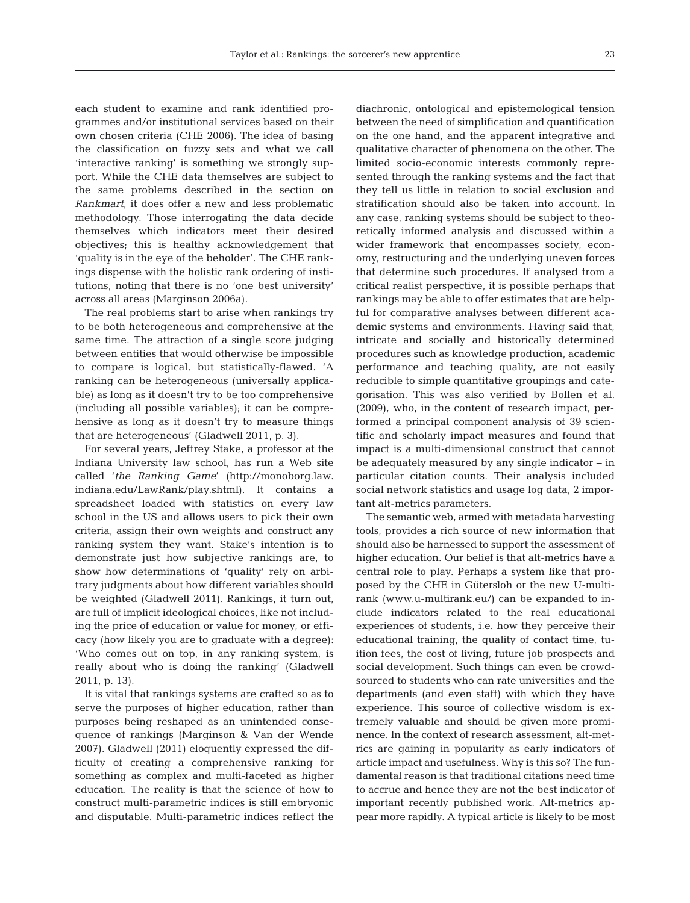each student to examine and rank identified programmes and/or institutional services based on their own chosen criteria (CHE 2006). The idea of basing the classification on fuzzy sets and what we call 'interactive ranking' is something we strongly support. While the CHE data themselves are subject to the same problems described in the section on *Rankmart*, it does offer a new and less problematic methodology. Those interrogating the data decide themselves which indicators meet their desired objectives; this is healthy acknowledgement that 'quality is in the eye of the beholder'. The CHE rankings dispense with the holistic rank ordering of institutions, noting that there is no 'one best university' across all areas (Marginson 2006a).

The real problems start to arise when rankings try to be both heterogeneous and comprehensive at the same time. The attraction of a single score judging between entities that would otherwise be impossible to compare is logical, but statistically-flawed. 'A ranking can be heterogeneous (universally applicable) as long as it doesn't try to be too comprehensive (including all possible variables); it can be comprehensive as long as it doesn't try to measure things that are heterogeneous' (Gladwell 2011, p. 3).

For several years, Jeffrey Stake, a professor at the Indiana University law school, has run a Web site called 'the Ranking Game' (http://monoborg.law. indiana.edu/LawRank/play.shtml). It contains a spreadsheet loaded with statistics on every law school in the US and allows users to pick their own criteria, assign their own weights and construct any ranking system they want. Stake's intention is to demonstrate just how subjective rankings are, to show how determinations of 'quality' rely on arbitrary judgments about how different variables should be weighted (Gladwell 2011). Rankings, it turn out, are full of implicit ideological choices, like not including the price of education or value for money, or efficacy (how likely you are to graduate with a degree): 'Who comes out on top, in any ranking system, is really about who is doing the ranking' (Gladwell 2011, p. 13).

It is vital that rankings systems are crafted so as to serve the purposes of higher education, rather than purposes being reshaped as an unintended consequence of rankings (Marginson & Van der Wende 2007). Gladwell (2011) eloquently expressed the difficulty of creating a comprehensive ranking for something as complex and multi-faceted as higher education. The reality is that the science of how to construct multi-parametric indices is still embryonic and disputable. Multi-parametric indices reflect the

diachronic, ontological and epistemological tension between the need of simplification and quantification on the one hand, and the apparent integrative and qualitative character of phenomena on the other. The limited socio-economic interests commonly represented through the ranking systems and the fact that they tell us little in relation to social exclusion and stratification should also be taken into account. In any case, ranking systems should be subject to theoretically informed analysis and discussed within a wider framework that encompasses society, economy, restructuring and the underlying uneven forces that determine such procedures. If analysed from a critical realist perspective, it is possible perhaps that rankings may be able to offer estimates that are helpful for comparative analyses between different academic systems and environments. Having said that, intricate and socially and historically determined procedures such as knowledge production, academic performance and teaching quality, are not easily reducible to simple quantitative groupings and categorisation. This was also verified by Bollen et al. (2009), who, in the content of research impact, performed a principal component analysis of 39 scientific and scholarly impact measures and found that impact is a multi-dimensional construct that cannot be adequately measured by any single indicator − in particular citation counts. Their analysis included social network statistics and usage log data, 2 important alt-metrics parameters.

The semantic web, armed with metadata harvesting tools, provides a rich source of new information that should also be harnessed to support the assessment of higher education. Our belief is that alt-metrics have a central role to play. Perhaps a system like that proposed by the CHE in Gütersloh or the new U-multirank (www.u-multirank.eu/) can be expanded to include indicators related to the real educational experiences of students, i.e. how they perceive their educational training, the quality of contact time, tuition fees, the cost of living, future job prospects and social development. Such things can even be crowdsourced to students who can rate universities and the departments (and even staff) with which they have experience. This source of collective wisdom is extremely valuable and should be given more prominence. In the context of research assessment, alt-metrics are gaining in popularity as early indicators of article impact and usefulness. Why is this so? The fundamental reason is that traditional citations need time to accrue and hence they are not the best indicator of important recently published work. Alt-metrics appear more rapidly. A typical article is likely to be most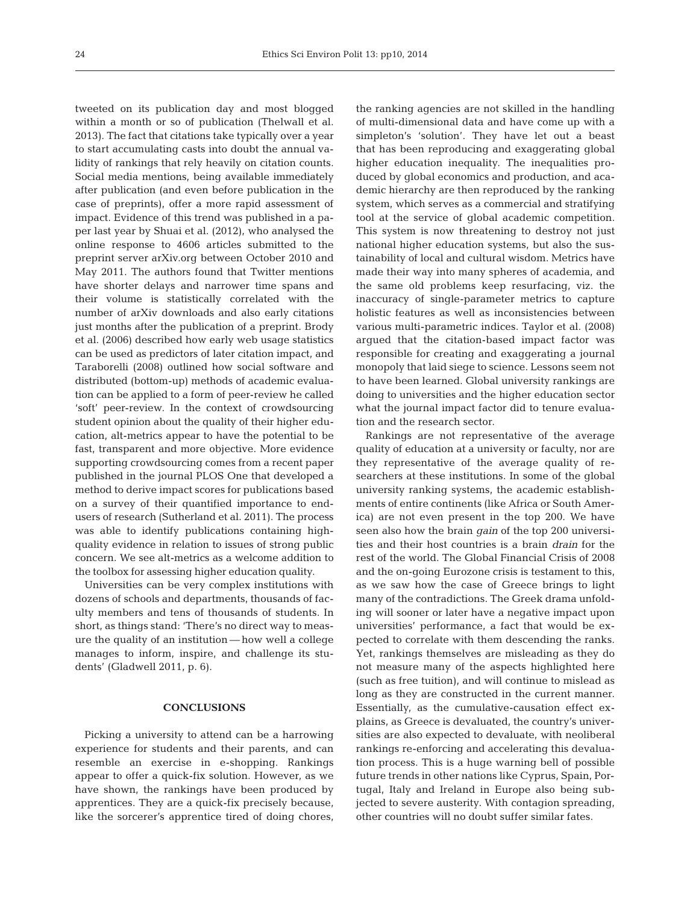tweeted on its publication day and most blogged within a month or so of publication (Thelwall et al. 2013). The fact that citations take typically over a year to start accumulating casts into doubt the annual validity of rankings that rely heavily on citation counts. Social media mentions, being available immediately after publication (and even before publication in the case of preprints), offer a more rapid assessment of impact. Evidence of this trend was published in a paper last year by Shuai et al. (2012), who analysed the online response to 4606 articles submitted to the preprint server arXiv.org between October 2010 and May 2011. The authors found that Twitter mentions have shorter delays and narrower time spans and their volume is statistically correlated with the number of arXiv downloads and also early citations just months after the publication of a preprint. Brody et al. (2006) described how early web usage statistics can be used as predictors of later citation impact, and Taraborelli (2008) outlined how social software and distributed (bottom-up) methods of academic evaluation can be applied to a form of peer-review he called 'soft' peer-review. In the context of crowdsourcing student opinion about the quality of their higher education, alt-metrics appear to have the potential to be fast, transparent and more objective. More evidence supporting crowdsourcing comes from a recent paper published in the journal PLOS One that developed a method to derive impact scores for publications based on a survey of their quantified importance to endusers of research (Sutherland et al. 2011). The process was able to identify publications containing highquality evidence in relation to issues of strong public concern. We see alt-metrics as a welcome addition to the toolbox for assessing higher education quality.

Universities can be very complex institutions with dozens of schools and departments, thousands of faculty members and tens of thousands of students. In short, as things stand: 'There's no direct way to measure the quality of an institution — how well a college manages to inform, inspire, and challenge its students' (Gladwell 2011, p. 6).

## **CONCLUSIONS**

Picking a university to attend can be a harrowing experience for students and their parents, and can resemble an exercise in e-shopping. Rankings appear to offer a quick-fix solution. However, as we have shown, the rankings have been produced by apprentices. They are a quick-fix precisely because, like the sorcerer's apprentice tired of doing chores, the ranking agencies are not skilled in the handling of multi-dimensional data and have come up with a simpleton's 'solution'. They have let out a beast that has been reproducing and exaggerating global higher education inequality. The inequalities produced by global economics and production, and academic hierarchy are then reproduced by the ranking system, which serves as a commercial and stratifying tool at the service of global academic competition. This system is now threatening to destroy not just national higher education systems, but also the sustainability of local and cultural wisdom. Metrics have made their way into many spheres of academia, and the same old problems keep resurfacing, viz. the inaccuracy of single-parameter metrics to capture holistic features as well as inconsistencies between various multi-parametric indices. Taylor et al. (2008) argued that the citation-based impact factor was responsible for creating and exaggerating a journal monopoly that laid siege to science. Lessons seem not to have been learned. Global university rankings are doing to universities and the higher education sector what the journal impact factor did to tenure evaluation and the research sector.

Rankings are not representative of the average quality of education at a university or faculty, nor are they representative of the average quality of re searchers at these institutions. In some of the global university ranking systems, the academic establishments of entire continents (like Africa or South America) are not even present in the top 200. We have seen also how the brain *gain* of the top 200 universities and their host countries is a brain *drain* for the rest of the world. The Global Financial Crisis of 2008 and the on-going Eurozone crisis is testament to this, as we saw how the case of Greece brings to light many of the contradictions. The Greek drama unfolding will sooner or later have a negative impact upon universities' performance, a fact that would be expected to correlate with them descending the ranks. Yet, rankings themselves are misleading as they do not measure many of the aspects highlighted here (such as free tuition), and will continue to mislead as long as they are constructed in the current manner. Essentially, as the cumulative-causation effect explains, as Greece is devaluated, the country's universities are also expected to devaluate, with neoliberal rankings re-enforcing and accelerating this devaluation process. This is a huge warning bell of possible future trends in other nations like Cyprus, Spain, Portugal, Italy and Ireland in Europe also being subjected to severe austerity. With contagion spreading, other countries will no doubt suffer similar fates.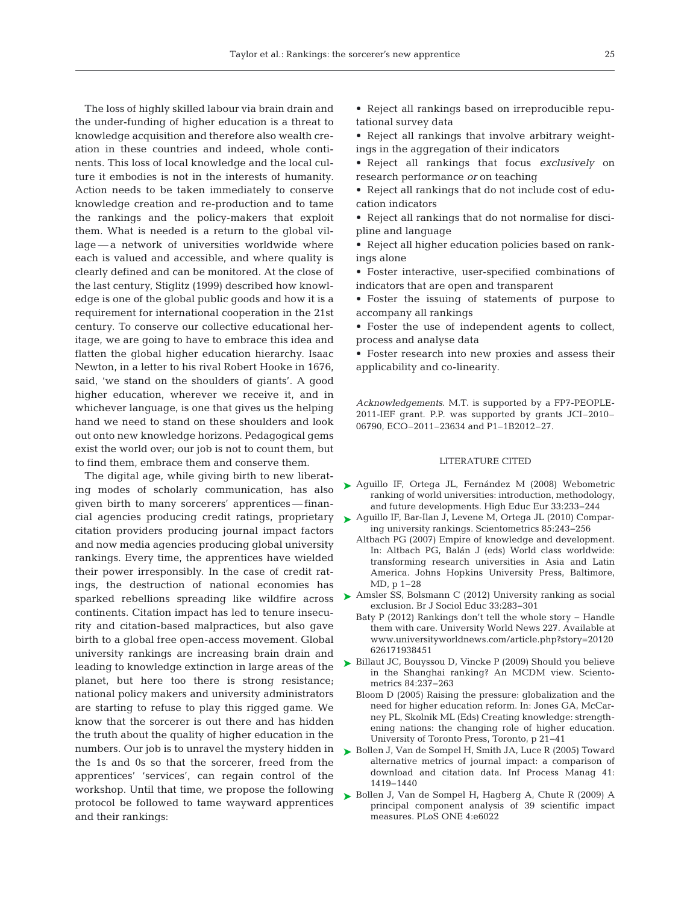The loss of highly skilled labour via brain drain and the under-funding of higher education is a threat to knowledge acquisition and therefore also wealth creation in these countries and indeed, whole continents. This loss of local knowledge and the local culture it embodies is not in the interests of humanity. Action needs to be taken immediately to conserve knowledge creation and re-production and to tame the rankings and the policy-makers that exploit them. What is needed is a return to the global village — a network of universities worldwide where each is valued and accessible, and where quality is clearly defined and can be monitored. At the close of the last century, Stiglitz (1999) described how knowledge is one of the global public goods and how it is a requirement for international cooperation in the 21st century. To conserve our collective educational heritage, we are going to have to embrace this idea and flatten the global higher education hierarchy. Isaac Newton, in a letter to his rival Robert Hooke in 1676, said, 'we stand on the shoulders of giants'. A good higher education, wherever we receive it, and in whichever language, is one that gives us the helping hand we need to stand on these shoulders and look out onto new knowledge horizons. Pedagogical gems exist the world over; our job is not to count them, but to find them, embrace them and conserve them.

The digital age, while giving birth to new liberating modes of scholarly communication, has also given birth to many sorcerers' apprentices — finan-cial agencies producing credit ratings, proprietary > [Aguillo IF, Bar-Ilan J, Levene M, Ortega JL \(2010\) Compar](http://dx.doi.org/10.1007/s11192-010-0190-z)citation providers producing journal impact factors and now media agencies producing global university rankings. Every time, the apprentices have wielded their power irresponsibly. In the case of credit ratings, the destruction of national economies has sparked rebellions spreading like wildfire across continents. Citation impact has led to tenure insecurity and citation-based malpractices, but also gave birth to a global free open-access movement. Global university rankings are increasing brain drain and leading to knowledge extinction in large areas of the planet, but here too there is strong resistance; national policy makers and university administrators are starting to refuse to play this rigged game. We know that the sorcerer is out there and has hidden the truth about the quality of higher education in the numbers. Our job is to unravel the mystery hidden in the 1s and 0s so that the sorcerer, freed from the apprentices' 'services', can regain control of the workshop. Until that time, we propose the following protocol be followed to tame wayward apprentices and their rankings:

• Reject all rankings based on irreproducible reputational survey data

• Reject all rankings that involve arbitrary weightings in the aggregation of their indicators

• Reject all rankings that focus *exclusively* on research performance *or* on teaching

• Reject all rankings that do not include cost of education indicators

• Reject all rankings that do not normalise for discipline and language

• Reject all higher education policies based on rankings alone

• Foster interactive, user-specified combinations of indicators that are open and transparent

• Foster the issuing of statements of purpose to accompany all rankings

• Foster the use of independent agents to collect, process and analyse data

• Foster research into new proxies and assess their applicability and co-linearity.

*Acknowledgements*. M.T. is supported by a FP7-PEOPLE-2011-IEF grant. P.P. was supported by grants JCI–2010– 06790, ECO–2011–23634 and P1–1B2012–27.

## LITERATURE CITED

- ▶ [Aguillo IF, Ortega JL, Fernández M \(2008\) Webometric](http://dx.doi.org/10.1080/03797720802254031) ranking of world universities: introduction, methodology, and future developments. High Educ Eur 33: 233−244
	- ing university rankings. Scientometrics 85: 243−256
	- Altbach PG (2007) Empire of knowledge and development. In:Altbach PG, Balán J (eds) World class worldwide: transforming research universities in Asia and Latin America. Johns Hopkins University Press, Baltimore, MD, p 1−28
- ▶ [Amsler SS, Bolsmann C \(2012\) University ranking as social](http://dx.doi.org/10.1080/01425692.2011.649835) exclusion. Br J Sociol Educ 33:283-301
	- Baty P (2012) Rankings don't tell the whole story − Handle them with care. University World News 227. Available at www.universityworldnews.com/article.php?story=20120 626171938451

► [Billaut JC, Bouyssou D, Vincke P \(2009\) Should you believe](http://dx.doi.org/10.1007/s11192-009-0115-x) in the Shanghai ranking? An MCDM view. Scientometrics 84:237-263

- Bloom D (2005) Raising the pressure: globalization and the need for higher education reform. In: Jones GA, McCarney PL, Skolnik ML (Eds) Creating knowledge: strengthening nations: the changing role of higher education. University of Toronto Press, Toronto, p 21−41
- ▶ [Bollen J, Van de Sompel H, Smith JA, Luce R \(2005\) Toward](http://dx.doi.org/10.1016/j.ipm.2005.03.024) alternative metrics of journal impact: a comparison of download and citation data. Inf Process Manag 41: 1419−1440
- ▶ [Bollen J, Van de Sompel H, Hagberg A, Chute R \(2009\) A](http://dx.doi.org/10.1371/journal.pone.0006022) principal component analysis of 39 scientific impact measures. PLoS ONE 4:e6022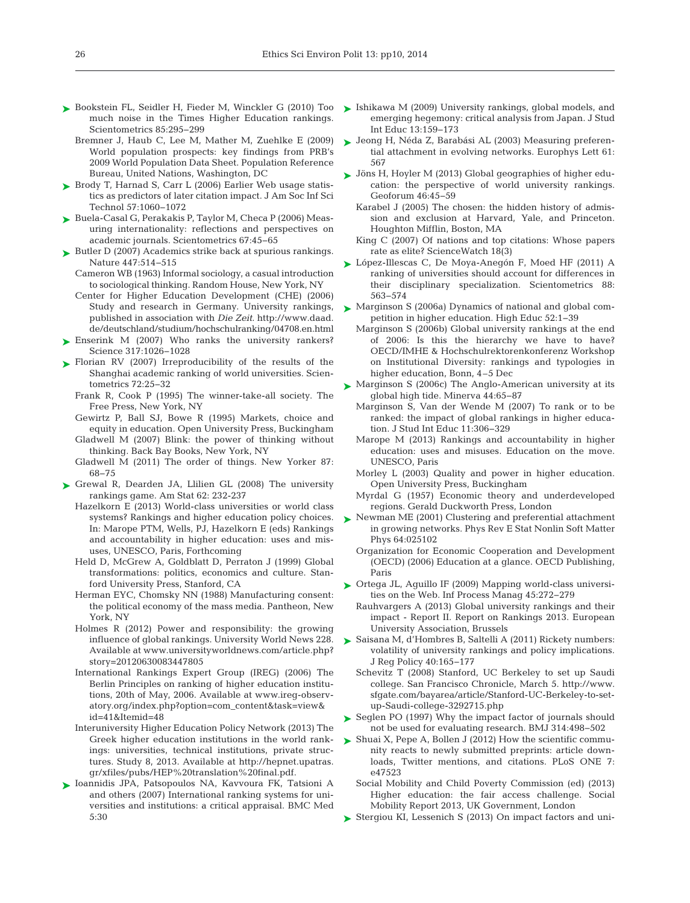- ► [Bookstein FL, Seidler H, Fieder M, Winckler G \(2010\) Too](http://dx.doi.org/10.1007/s11192-010-0189-5) ► [Ishikawa M \(2009\) University rankings, global models, and](http://dx.doi.org/10.1177/1028315308330853) much noise in the Times Higher Education rankings. Scientometrics 85:295-299
	- Bremner J, Haub C, Lee M, Mather M, Zuehlke E (2009) World population prospects: key findings from PRB's 2009 World Population Data Sheet. Population Reference Bureau, United Nations, Washington, DC
- ► [Brody T, Harnad S, Carr L \(2006\) Earlier Web usage statis](http://dx.doi.org/10.1002/asi.20373)tics as predictors of later citation impact. J Am Soc Inf Sci Technol 57: 1060−1072
- ► [Buela-Casal G, Perakakis P, Taylor M, Checa P \(2006\) Meas](http://dx.doi.org/10.1007/s11192-006-0050-z)uring internationality: reflections and perspectives on academic journals. Scientometrics 67:45-65
- ► [Butler D \(2007\) Academics strike back at spurious rankings.](http://dx.doi.org/10.1038/447514b) Nature 447:514-515
	- Cameron WB (1963) Informal sociology, a casual introduction to sociological thinking. Random House, New York, NY
	- Center for Higher Education Development (CHE) (2006) Study and research in Germany. University rankings, published in association with *Die Zeit*. http:// www. daad. de/ deutschland/studium/ hochschulranking/ 04708. en. html
- ▶ [Enserink M \(2007\) Who ranks the university rankers?](http://dx.doi.org/10.1126/science.317.5841.1026) Science 317: 1026−1028
- ▶ [Florian RV \(2007\) Irreproducibility of the results of the](http://dx.doi.org/10.1007/s11192-007-1712-1) Shanghai academic ranking of world universities. Scientometrics 72: 25−32
	- Frank R, Cook P (1995) The winner-take-all society. The Free Press, New York, NY
	- Gewirtz P, Ball SJ, Bowe R (1995) Markets, choice and equity in education. Open University Press, Buckingham Gladwell  $M$  (2007) Blink: the power of thinking without thinking. Back Bay Books, New York, NY
	- Gladwell M (2011) The order of things. New Yorker 87: 68−75
- ▶ [Grewal R, Dearden JA, Llilien GL \(2008\) The university](http://dx.doi.org/10.1198/000313008X332124) rankings game. Am Stat 62:232-237
	- Hazelkorn E (2013) World-class universities or world class systems? Rankings and higher education policy choices. In: Marope PTM, Wells, PJ, Hazelkorn E (eds) Rankings and accountability in higher education: uses and misuses, UNESCO, Paris, Forthcoming
	- Held D, McGrew A, Goldblatt D, Perraton J (1999) Global transformations: politics, economics and culture. Stanford University Press, Stanford, CA
	- Herman EYC, Chomsky NN (1988) Manufacturing consent: the political economy of the mass media. Pantheon, New York, NY
	- Holmes R  $(2012)$  Power and responsibility: the growing influence of global rankings. University World News 228. Available at www.universityworldnews.com/article.php? story= 20120630083447805
	- International Rankings Expert Group (IREG) (2006) The Berlin Principles on ranking of higher education institutions, 20th of May, 2006. Available at www. ireg-observatory. org/ index. php? option= com\_ content& task= view& id= 41& Itemid= 48
	- Interuniversity Higher Education Policy Network (2013) The Greek higher education institutions in the world rankings: universities, technical institutions, private structures. Study 8, 2013. Available at http://hepnet.upatras. gr/ xfiles/ pubs/ HEP%20translation%20final.pdf.
- [Ioannidis JPA, Patsopoulos NA, Kavvoura FK, Tatsioni A](http://dx.doi.org/10.1186/1741-7015-5-30) ➤ and others (2007) International ranking systems for universities and institutions: a critical appraisal. BMC Med 5:30
- emerging hegemony: critical analysis from Japan. J Stud Int Educ 13: 159−173
- ► [Jeong H, Néda Z, Barabási AL \(2003\) Measuring preferen](http://dx.doi.org/10.1209/epl/i2003-00166-9)tial attachment in evolving networks. Europhys Lett 61: 567
- [Jöns H, Hoyler M \(2013\) Global geographies of higher edu-](http://dx.doi.org/10.1016/j.geoforum.2012.12.014)➤ cation: the perspective of world university rankings. Geoforum 46:45-59
	- Karabel J (2005) The chosen: the hidden history of admission and exclusion at Harvard, Yale, and Princeton. Houghton Mifflin, Boston, MA
	- King C (2007) Of nations and top citations: Whose papers rate as elite? ScienceWatch 18(3)
- [López-Illescas C, De Moya-Anegón F, Moed HF \(2011\) A](http://dx.doi.org/10.1007/s11192-011-0398-6) ➤ ranking of universities should account for differences in their disciplinary specialization. Scientometrics 88: 563−574
- [Marginson S \(2006a\) Dynamics of national and global com-](http://dx.doi.org/10.1007/s10734-004-7649-x)➤ petition in higher education. High Educ 52: 1−39
	- Marginson S (2006b) Global university rankings at the end of 2006: Is this the hierarchy we have to have? OECD/IMHE & Hochschulrektorenkonferenz Workshop on Institutional Diversity: rankings and typologies in higher education, Bonn, 4–5 Dec
- ► [Marginson S \(2006c\) The Anglo-American university at its](http://dx.doi.org/10.1007/s11024-005-5399-2) global high tide. Minerva 44: 65−87
	- Marginson S, Van der Wende M (2007) To rank or to be ranked: the impact of global rankings in higher education. J Stud Int Educ 11: 306−329
	- Marope M (2013) Rankings and accountability in higher education: uses and misuses. Education on the move. UNESCO, Paris
	- Morley L (2003) Quality and power in higher education. Open University Press, Buckingham
	- Myrdal G (1957) Economic theory and underdeveloped regions. Gerald Duckworth Press, London
- ▶ [Newman ME \(2001\) Clustering and preferential attachment](http://dx.doi.org/10.1103/PhysRevE.64.025102) in growing networks. Phys Rev E Stat Nonlin Soft Matter Phys 64:025102
	- Organization for Economic Cooperation and Development (OECD) (2006) Education at a glance. OECD Publishing, Paris
- ▶ [Ortega JL, Aguillo IF \(2009\) Mapping world-class universi](http://dx.doi.org/10.1016/j.ipm.2008.10.001)ties on the Web. Inf Process Manag 45:272−279
	- Rauhvargers A (2013) Global university rankings and their impact - Report II. Report on Rankings 2013. European University Association, Brussels
- ► Saisana M, d'Hombres B, Saltelli A (2011) Rickety numbers: volatility of university rankings and policy implications. J Reg Policy 40: 165−177
	- Schevitz T (2008) Stanford, UC Berkeley to set up Saudi college. San Francisco Chronicle, March 5. http:// www. sfgate. com/ bayarea/ article/ Stanford-UC-Berkeley-to-setup-Saudi-college-3292715.php
- ▶ [Seglen PO \(1997\) Why the impact factor of journals should](http://www.ncbi.nlm.nih.gov/entrez/query.fcgi?cmd=Retrieve&db=PubMed&list_uids=9056804&dopt=Abstract) not be used for evaluating research. BMJ 314:498−502
- ► [Shuai X, Pepe A, Bollen J \(2012\) How the scientific commu](http://dx.doi.org/10.1371/journal.pone.0047523)nity reacts to newly submitted preprints: article downloads, Twitter mentions, and citations. PLoS ONE 7: e47523
	- Social Mobility and Child Poverty Commission (ed) (2013) Higher education: the fair access challenge. Social Mobility Report 2013, UK Government, London
- ▶ [Stergiou KI, Lessenich S \(2013\) On impact factors and uni-](http://dx.doi.org/10.3354/esep00141)